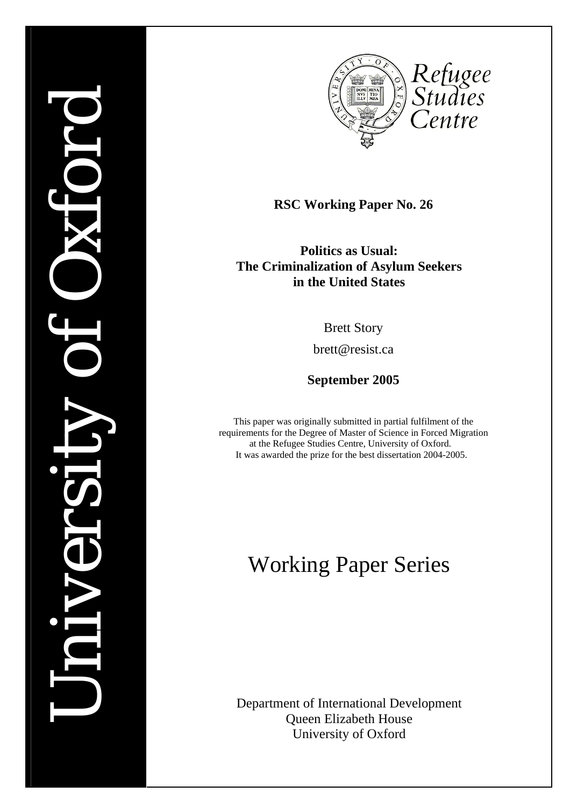# *University of Oxford*  MNV



**RSC Working Paper No. 26** 

**Politics as Usual: The Criminalization of Asylum Seekers in the United States** 

Brett Story

brett@resist.ca

**September 2005** 

This p a p er was originally submitted in p artial fulfilment o f the requirements for the Degree of Master o f Science in Forced Migration at the Refugee Studies Centre, University o f Oxford. It was awarded the prize for the best dissertation 2004-2005.

# Working Paper Series

Department of International Development Queen Elizabeth House University of Oxford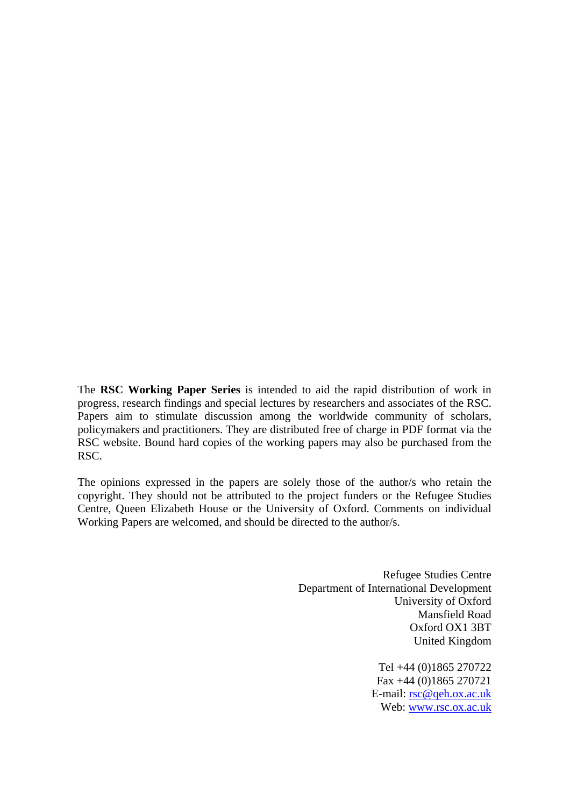The **RSC Working Paper Series** is intended to aid the rapid distribution of work in progress, research findings and special lectures by researchers and associates of the RSC. Papers aim to stimulate discussion among the worldwide community of scholars, policymakers and practitioners. They are distributed free of charge in PDF format via the RSC website. Bound hard copies of the working papers may also be purchased from the RSC.

The opinions expressed in the papers are solely those of the author/s who retain the copyright. They should not be attributed to the project funders or the Refugee Studies Centre, Queen Elizabeth House or the University of Oxford. Comments on individual Working Papers are welcomed, and should be directed to the author/s.

> Refugee Studies Centre Department of International Development University of Oxford Mansfield Road Oxford OX1 3BT United Kingdom

> > Tel +44 (0)1865 270722 Fax +44 (0)1865 270721 E-mail: [rsc@qeh.ox.ac.uk](mailto:rsc@qeh.ox.ac.uk) Web: [www.rsc.ox.ac.uk](http://www.rsc.ox.ac.uk/)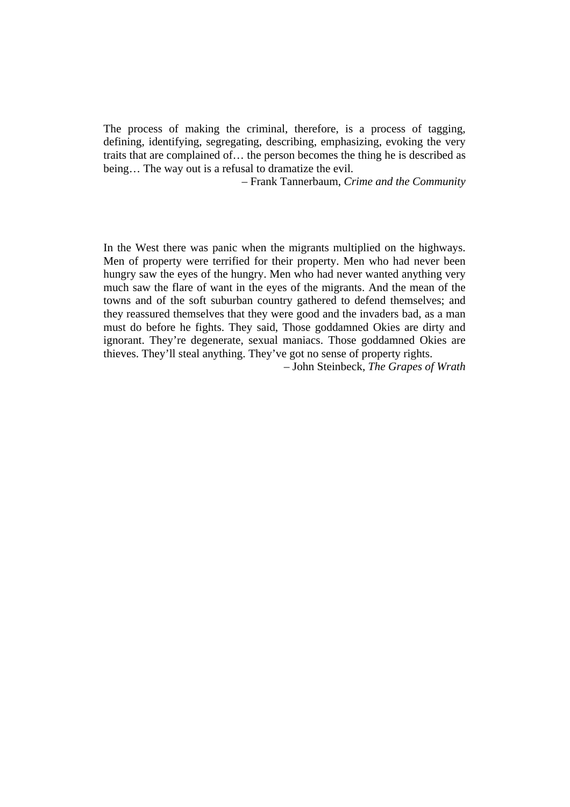The process of making the criminal, therefore, is a process of tagging, defining, identifying, segregating, describing, emphasizing, evoking the very traits that are complained of… the person becomes the thing he is described as being… The way out is a refusal to dramatize the evil.

– Frank Tannerbaum, *Crime and the Community*

In the West there was panic when the migrants multiplied on the highways. Men of property were terrified for their property. Men who had never been hungry saw the eyes of the hungry. Men who had never wanted anything very much saw the flare of want in the eyes of the migrants. And the mean of the towns and of the soft suburban country gathered to defend themselves; and they reassured themselves that they were good and the invaders bad, as a man must do before he fights. They said, Those goddamned Okies are dirty and ignorant. They're degenerate, sexual maniacs. Those goddamned Okies are thieves. They'll steal anything. They've got no sense of property rights.

– John Steinbeck, *The Grapes of Wrath*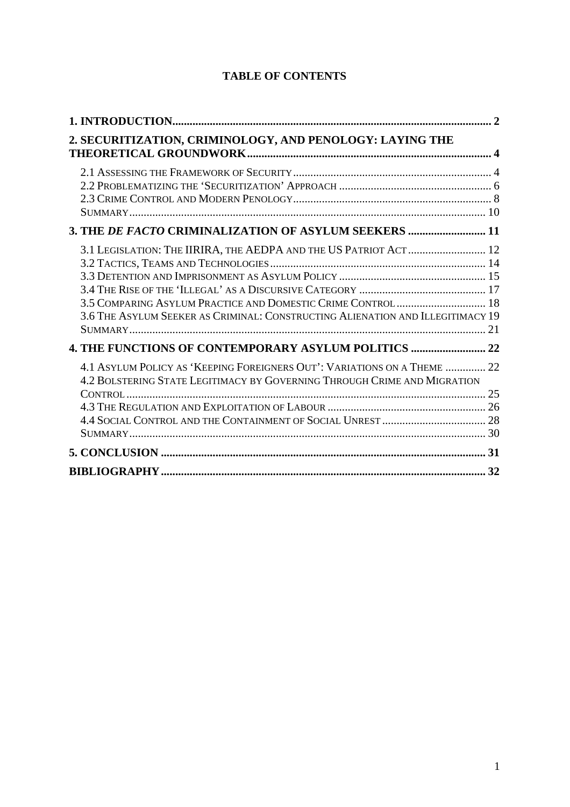## **TABLE OF CONTENTS**

| 2. SECURITIZATION, CRIMINOLOGY, AND PENOLOGY: LAYING THE                                                                                                                                                           |  |
|--------------------------------------------------------------------------------------------------------------------------------------------------------------------------------------------------------------------|--|
| 3. THE DE FACTO CRIMINALIZATION OF ASYLUM SEEKERS  11                                                                                                                                                              |  |
| 3.1 LEGISLATION: THE IIRIRA, THE AEDPA AND THE US PATRIOT ACT  12<br>3.5 COMPARING ASYLUM PRACTICE AND DOMESTIC CRIME CONTROL 18<br>3.6 THE ASYLUM SEEKER AS CRIMINAL: CONSTRUCTING ALIENATION AND ILLEGITIMACY 19 |  |
| 4. THE FUNCTIONS OF CONTEMPORARY ASYLUM POLITICS  22                                                                                                                                                               |  |
| 4.1 ASYLUM POLICY AS 'KEEPING FOREIGNERS OUT': VARIATIONS ON A THEME  22<br>4.2 BOLSTERING STATE LEGITIMACY BY GOVERNING THROUGH CRIME AND MIGRATION                                                               |  |
|                                                                                                                                                                                                                    |  |
|                                                                                                                                                                                                                    |  |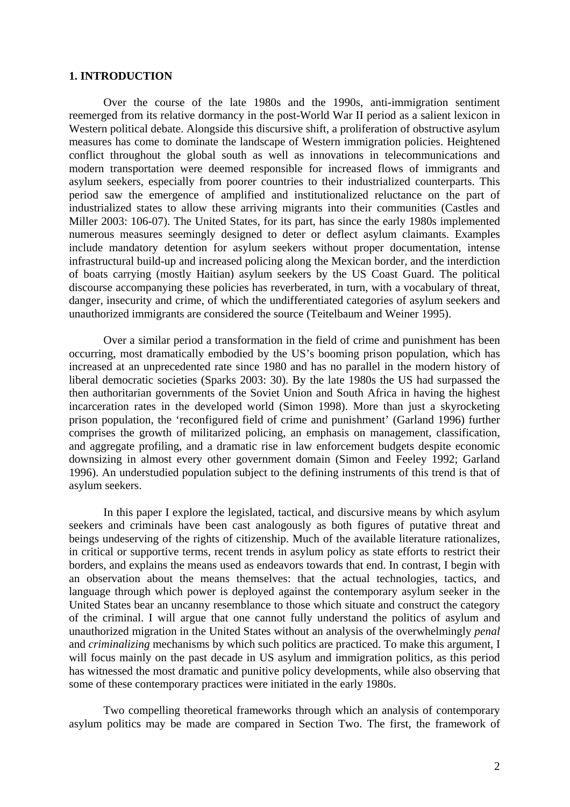### <span id="page-4-0"></span>**1. INTRODUCTION**

Over the course of the late 1980s and the 1990s, anti-immigration sentiment reemerged from its relative dormancy in the post-World War II period as a salient lexicon in Western political debate. Alongside this discursive shift, a proliferation of obstructive asylum measures has come to dominate the landscape of Western immigration policies. Heightened conflict throughout the global south as well as innovations in telecommunications and modern transportation were deemed responsible for increased flows of immigrants and asylum seekers, especially from poorer countries to their industrialized counterparts. This period saw the emergence of amplified and institutionalized reluctance on the part of industrialized states to allow these arriving migrants into their communities (Castles and Miller 2003: 106-07). The United States, for its part, has since the early 1980s implemented numerous measures seemingly designed to deter or deflect asylum claimants. Examples include mandatory detention for asylum seekers without proper documentation, intense infrastructural build-up and increased policing along the Mexican border, and the interdiction of boats carrying (mostly Haitian) asylum seekers by the US Coast Guard. The political discourse accompanying these policies has reverberated, in turn, with a vocabulary of threat, danger, insecurity and crime, of which the undifferentiated categories of asylum seekers and unauthorized immigrants are considered the source (Teitelbaum and Weiner 1995).

Over a similar period a transformation in the field of crime and punishment has been occurring, most dramatically embodied by the US's booming prison population, which has increased at an unprecedented rate since 1980 and has no parallel in the modern history of liberal democratic societies (Sparks 2003: 30). By the late 1980s the US had surpassed the then authoritarian governments of the Soviet Union and South Africa in having the highest incarceration rates in the developed world (Simon 1998). More than just a skyrocketing prison population, the 'reconfigured field of crime and punishment' (Garland 1996) further comprises the growth of militarized policing, an emphasis on management, classification, and aggregate profiling, and a dramatic rise in law enforcement budgets despite economic downsizing in almost every other government domain (Simon and Feeley 1992; Garland 1996). An understudied population subject to the defining instruments of this trend is that of asylum seekers.

In this paper I explore the legislated, tactical, and discursive means by which asylum seekers and criminals have been cast analogously as both figures of putative threat and beings undeserving of the rights of citizenship. Much of the available literature rationalizes, in critical or supportive terms, recent trends in asylum policy as state efforts to restrict their borders, and explains the means used as endeavors towards that end. In contrast, I begin with an observation about the means themselves: that the actual technologies, tactics, and language through which power is deployed against the contemporary asylum seeker in the United States bear an uncanny resemblance to those which situate and construct the category of the criminal. I will argue that one cannot fully understand the politics of asylum and unauthorized migration in the United States without an analysis of the overwhelmingly *penal* and *criminalizing* mechanisms by which such politics are practiced. To make this argument, I will focus mainly on the past decade in US asylum and immigration politics, as this period has witnessed the most dramatic and punitive policy developments, while also observing that some of these contemporary practices were initiated in the early 1980s.

Two compelling theoretical frameworks through which an analysis of contemporary asylum politics may be made are compared in Section Two. The first, the framework of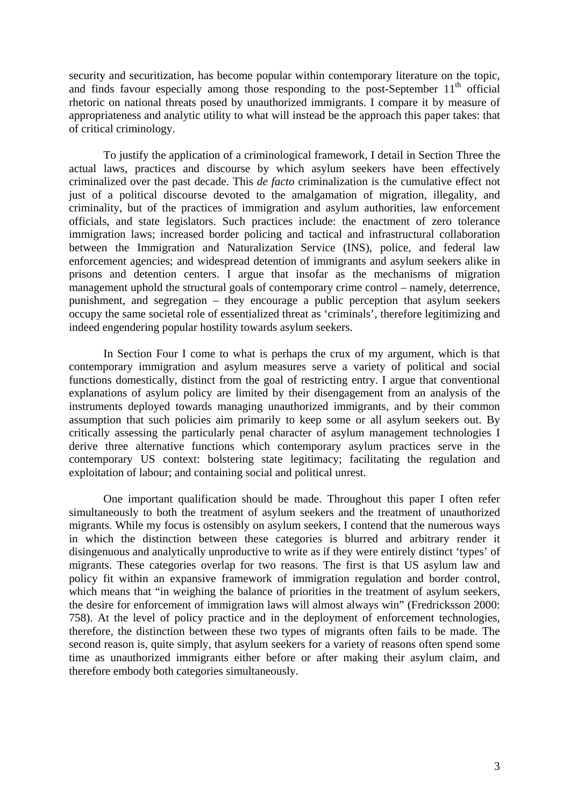security and securitization, has become popular within contemporary literature on the topic, and finds favour especially among those responding to the post-September  $11<sup>th</sup>$  official rhetoric on national threats posed by unauthorized immigrants. I compare it by measure of appropriateness and analytic utility to what will instead be the approach this paper takes: that of critical criminology.

To justify the application of a criminological framework, I detail in Section Three the actual laws, practices and discourse by which asylum seekers have been effectively criminalized over the past decade. This *de facto* criminalization is the cumulative effect not just of a political discourse devoted to the amalgamation of migration, illegality, and criminality, but of the practices of immigration and asylum authorities, law enforcement officials, and state legislators. Such practices include: the enactment of zero tolerance immigration laws; increased border policing and tactical and infrastructural collaboration between the Immigration and Naturalization Service (INS), police, and federal law enforcement agencies; and widespread detention of immigrants and asylum seekers alike in prisons and detention centers. I argue that insofar as the mechanisms of migration management uphold the structural goals of contemporary crime control – namely, deterrence, punishment, and segregation – they encourage a public perception that asylum seekers occupy the same societal role of essentialized threat as 'criminals', therefore legitimizing and indeed engendering popular hostility towards asylum seekers.

In Section Four I come to what is perhaps the crux of my argument, which is that contemporary immigration and asylum measures serve a variety of political and social functions domestically, distinct from the goal of restricting entry. I argue that conventional explanations of asylum policy are limited by their disengagement from an analysis of the instruments deployed towards managing unauthorized immigrants, and by their common assumption that such policies aim primarily to keep some or all asylum seekers out. By critically assessing the particularly penal character of asylum management technologies I derive three alternative functions which contemporary asylum practices serve in the contemporary US context: bolstering state legitimacy; facilitating the regulation and exploitation of labour; and containing social and political unrest.

One important qualification should be made. Throughout this paper I often refer simultaneously to both the treatment of asylum seekers and the treatment of unauthorized migrants. While my focus is ostensibly on asylum seekers, I contend that the numerous ways in which the distinction between these categories is blurred and arbitrary render it disingenuous and analytically unproductive to write as if they were entirely distinct 'types' of migrants. These categories overlap for two reasons. The first is that US asylum law and policy fit within an expansive framework of immigration regulation and border control, which means that "in weighing the balance of priorities in the treatment of asylum seekers, the desire for enforcement of immigration laws will almost always win" (Fredricksson 2000: 758). At the level of policy practice and in the deployment of enforcement technologies, therefore, the distinction between these two types of migrants often fails to be made. The second reason is, quite simply, that asylum seekers for a variety of reasons often spend some time as unauthorized immigrants either before or after making their asylum claim, and therefore embody both categories simultaneously.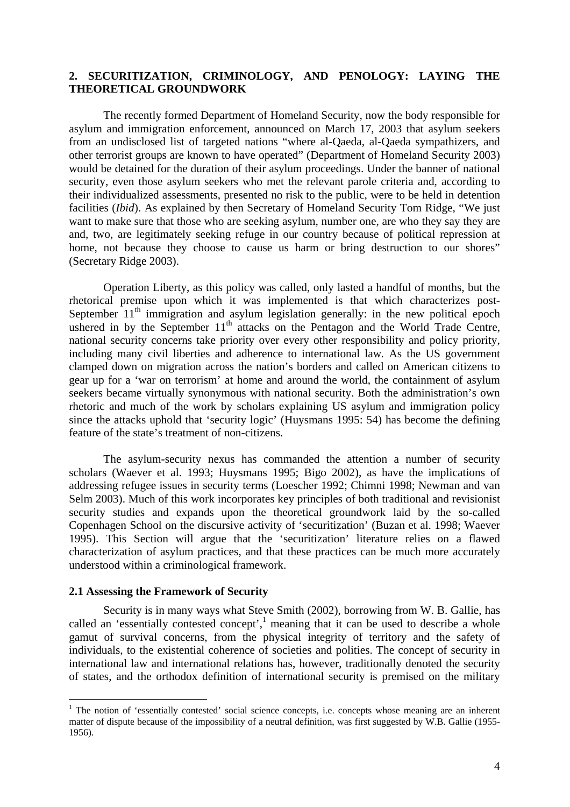### <span id="page-6-0"></span>**2. SECURITIZATION, CRIMINOLOGY, AND PENOLOGY: LAYING THE THEORETICAL GROUNDWORK**

The recently formed Department of Homeland Security, now the body responsible for asylum and immigration enforcement, announced on March 17, 2003 that asylum seekers from an undisclosed list of targeted nations "where al-Qaeda, al-Qaeda sympathizers, and other terrorist groups are known to have operated" (Department of Homeland Security 2003) would be detained for the duration of their asylum proceedings. Under the banner of national security, even those asylum seekers who met the relevant parole criteria and, according to their individualized assessments, presented no risk to the public, were to be held in detention facilities (*Ibid*). As explained by then Secretary of Homeland Security Tom Ridge, "We just want to make sure that those who are seeking asylum, number one, are who they say they are and, two, are legitimately seeking refuge in our country because of political repression at home, not because they choose to cause us harm or bring destruction to our shores" (Secretary Ridge 2003).

Operation Liberty, as this policy was called, only lasted a handful of months, but the rhetorical premise upon which it was implemented is that which characterizes post-September  $11<sup>th</sup>$  immigration and asylum legislation generally: in the new political epoch ushered in by the September  $11<sup>th</sup>$  attacks on the Pentagon and the World Trade Centre, national security concerns take priority over every other responsibility and policy priority, including many civil liberties and adherence to international law*.* As the US government clamped down on migration across the nation's borders and called on American citizens to gear up for a 'war on terrorism' at home and around the world, the containment of asylum seekers became virtually synonymous with national security. Both the administration's own rhetoric and much of the work by scholars explaining US asylum and immigration policy since the attacks uphold that 'security logic' (Huysmans 1995: 54) has become the defining feature of the state's treatment of non-citizens.

The asylum-security nexus has commanded the attention a number of security scholars (Waever et al. 1993; Huysmans 1995; Bigo 2002), as have the implications of addressing refugee issues in security terms (Loescher 1992; Chimni 1998; Newman and van Selm 2003). Much of this work incorporates key principles of both traditional and revisionist security studies and expands upon the theoretical groundwork laid by the so-called Copenhagen School on the discursive activity of 'securitization' (Buzan et al. 1998; Waever 1995). This Section will argue that the 'securitization' literature relies on a flawed characterization of asylum practices, and that these practices can be much more accurately understood within a criminological framework.

### **2.1 Assessing the Framework of Security**

 $\overline{a}$ 

Security is in many ways what Steve Smith (2002), borrowing from W. B. Gallie, has called an 'essentially contested concept', $\frac{1}{1}$  meaning that it can be used to describe a whole gamut of survival concerns, from the physical integrity of territory and the safety of individuals, to the existential coherence of societies and polities. The concept of security in international law and international relations has, however, traditionally denoted the security of states, and the orthodox definition of international security is premised on the military

<span id="page-6-1"></span><sup>&</sup>lt;sup>1</sup> The notion of 'essentially contested' social science concepts, i.e. concepts whose meaning are an inherent matter of dispute because of the impossibility of a neutral definition, was first suggested by W.B. Gallie (1955- 1956).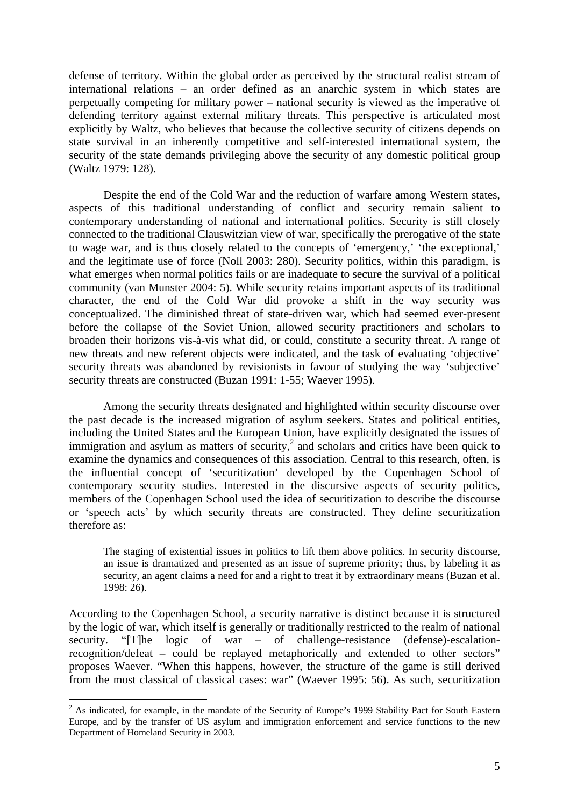defense of territory. Within the global order as perceived by the structural realist stream of international relations – an order defined as an anarchic system in which states are perpetually competing for military power – national security is viewed as the imperative of defending territory against external military threats. This perspective is articulated most explicitly by Waltz, who believes that because the collective security of citizens depends on state survival in an inherently competitive and self-interested international system, the security of the state demands privileging above the security of any domestic political group (Waltz 1979: 128).

Despite the end of the Cold War and the reduction of warfare among Western states, aspects of this traditional understanding of conflict and security remain salient to contemporary understanding of national and international politics. Security is still closely connected to the traditional Clauswitzian view of war, specifically the prerogative of the state to wage war, and is thus closely related to the concepts of 'emergency,' 'the exceptional,' and the legitimate use of force (Noll 2003: 280). Security politics, within this paradigm, is what emerges when normal politics fails or are inadequate to secure the survival of a political community (van Munster 2004: 5). While security retains important aspects of its traditional character, the end of the Cold War did provoke a shift in the way security was conceptualized. The diminished threat of state-driven war, which had seemed ever-present before the collapse of the Soviet Union, allowed security practitioners and scholars to broaden their horizons vis-à-vis what did, or could, constitute a security threat. A range of new threats and new referent objects were indicated, and the task of evaluating 'objective' security threats was abandoned by revisionists in favour of studying the way 'subjective' security threats are constructed (Buzan 1991: 1-55; Waever 1995).

Among the security threats designated and highlighted within security discourse over the past decade is the increased migration of asylum seekers. States and political entities, including the United States and the European Union, have explicitly designated the issues of immigration and asylum as matters of security, $\lambda^2$  $\lambda^2$  and scholars and critics have been quick to examine the dynamics and consequences of this association. Central to this research, often, is the influential concept of 'securitization' developed by the Copenhagen School of contemporary security studies. Interested in the discursive aspects of security politics, members of the Copenhagen School used the idea of securitization to describe the discourse or 'speech acts' by which security threats are constructed. They define securitization therefore as:

The staging of existential issues in politics to lift them above politics. In security discourse, an issue is dramatized and presented as an issue of supreme priority; thus, by labeling it as security, an agent claims a need for and a right to treat it by extraordinary means (Buzan et al. 1998: 26).

According to the Copenhagen School, a security narrative is distinct because it is structured by the logic of war, which itself is generally or traditionally restricted to the realm of national security. "[T]he logic of war – of challenge-resistance (defense)-escalationrecognition/defeat – could be replayed metaphorically and extended to other sectors" proposes Waever. "When this happens, however, the structure of the game is still derived from the most classical of classical cases: war" (Waever 1995: 56). As such, securitization

<span id="page-7-0"></span> $2^2$  As indicated, for example, in the mandate of the Security of Europe's 1999 Stability Pact for South Eastern Europe, and by the transfer of US asylum and immigration enforcement and service functions to the new Department of Homeland Security in 2003.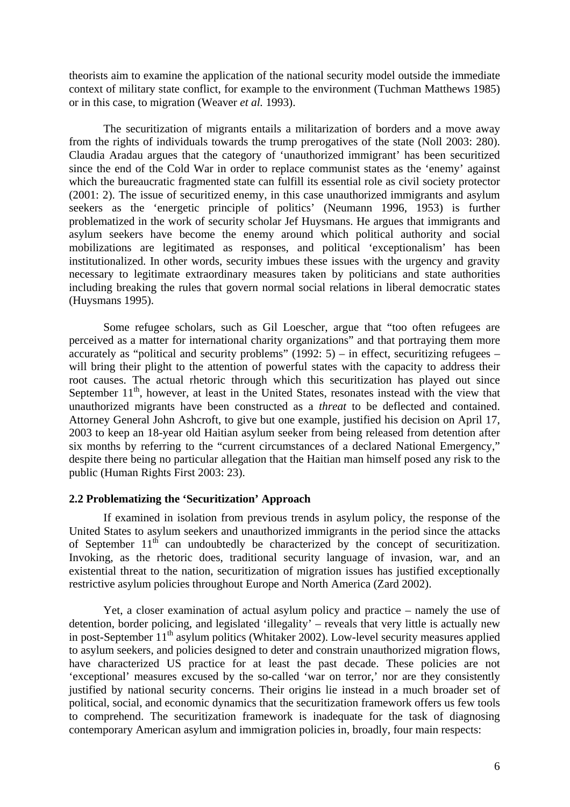<span id="page-8-0"></span>theorists aim to examine the application of the national security model outside the immediate context of military state conflict, for example to the environment (Tuchman Matthews 1985) or in this case, to migration (Weaver *et al.* 1993).

The securitization of migrants entails a militarization of borders and a move away from the rights of individuals towards the trump prerogatives of the state (Noll 2003: 280). Claudia Aradau argues that the category of 'unauthorized immigrant' has been securitized since the end of the Cold War in order to replace communist states as the 'enemy' against which the bureaucratic fragmented state can fulfill its essential role as civil society protector (2001: 2). The issue of securitized enemy, in this case unauthorized immigrants and asylum seekers as the 'energetic principle of politics' (Neumann 1996, 1953) is further problematized in the work of security scholar Jef Huysmans. He argues that immigrants and asylum seekers have become the enemy around which political authority and social mobilizations are legitimated as responses, and political 'exceptionalism' has been institutionalized. In other words, security imbues these issues with the urgency and gravity necessary to legitimate extraordinary measures taken by politicians and state authorities including breaking the rules that govern normal social relations in liberal democratic states (Huysmans 1995).

Some refugee scholars, such as Gil Loescher, argue that "too often refugees are perceived as a matter for international charity organizations" and that portraying them more accurately as "political and security problems" (1992: 5) – in effect, securitizing refugees – will bring their plight to the attention of powerful states with the capacity to address their root causes. The actual rhetoric through which this securitization has played out since September  $11<sup>th</sup>$ , however, at least in the United States, resonates instead with the view that unauthorized migrants have been constructed as a *threat* to be deflected and contained. Attorney General John Ashcroft, to give but one example, justified his decision on April 17, 2003 to keep an 18-year old Haitian asylum seeker from being released from detention after six months by referring to the "current circumstances of a declared National Emergency," despite there being no particular allegation that the Haitian man himself posed any risk to the public (Human Rights First 2003: 23).

### **2.2 Problematizing the 'Securitization' Approach**

If examined in isolation from previous trends in asylum policy, the response of the United States to asylum seekers and unauthorized immigrants in the period since the attacks of September  $11<sup>th</sup>$  can undoubtedly be characterized by the concept of securitization. Invoking, as the rhetoric does, traditional security language of invasion, war, and an existential threat to the nation, securitization of migration issues has justified exceptionally restrictive asylum policies throughout Europe and North America (Zard 2002).

Yet, a closer examination of actual asylum policy and practice – namely the use of detention, border policing, and legislated 'illegality' – reveals that very little is actually new in post-September  $11<sup>th</sup>$  asylum politics (Whitaker 2002). Low-level security measures applied to asylum seekers, and policies designed to deter and constrain unauthorized migration flows, have characterized US practice for at least the past decade. These policies are not 'exceptional' measures excused by the so-called 'war on terror,' nor are they consistently justified by national security concerns. Their origins lie instead in a much broader set of political, social, and economic dynamics that the securitization framework offers us few tools to comprehend. The securitization framework is inadequate for the task of diagnosing contemporary American asylum and immigration policies in, broadly, four main respects: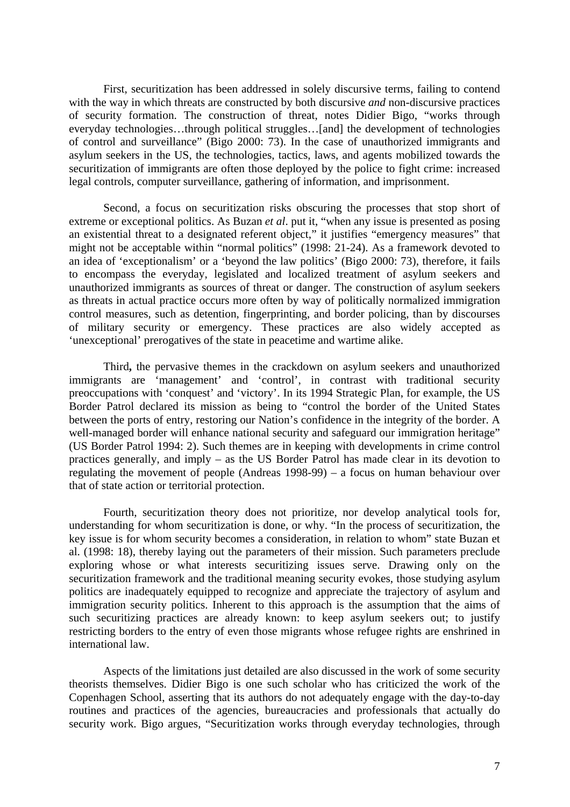First, securitization has been addressed in solely discursive terms, failing to contend with the way in which threats are constructed by both discursive *and* non-discursive practices of security formation. The construction of threat, notes Didier Bigo, "works through everyday technologies…through political struggles…[and] the development of technologies of control and surveillance" (Bigo 2000: 73). In the case of unauthorized immigrants and asylum seekers in the US, the technologies, tactics, laws, and agents mobilized towards the securitization of immigrants are often those deployed by the police to fight crime: increased legal controls, computer surveillance, gathering of information, and imprisonment.

Second, a focus on securitization risks obscuring the processes that stop short of extreme or exceptional politics. As Buzan *et al*. put it, "when any issue is presented as posing an existential threat to a designated referent object," it justifies "emergency measures" that might not be acceptable within "normal politics" (1998: 21-24). As a framework devoted to an idea of 'exceptionalism' or a 'beyond the law politics' (Bigo 2000: 73), therefore, it fails to encompass the everyday, legislated and localized treatment of asylum seekers and unauthorized immigrants as sources of threat or danger. The construction of asylum seekers as threats in actual practice occurs more often by way of politically normalized immigration control measures, such as detention, fingerprinting, and border policing, than by discourses of military security or emergency. These practices are also widely accepted as 'unexceptional' prerogatives of the state in peacetime and wartime alike.

Third**,** the pervasive themes in the crackdown on asylum seekers and unauthorized immigrants are 'management' and 'control', in contrast with traditional security preoccupations with 'conquest' and 'victory'. In its 1994 Strategic Plan, for example, the US Border Patrol declared its mission as being to "control the border of the United States between the ports of entry, restoring our Nation's confidence in the integrity of the border. A well-managed border will enhance national security and safeguard our immigration heritage" (US Border Patrol 1994: 2). Such themes are in keeping with developments in crime control practices generally, and imply – as the US Border Patrol has made clear in its devotion to regulating the movement of people (Andreas 1998-99) – a focus on human behaviour over that of state action or territorial protection.

Fourth, securitization theory does not prioritize, nor develop analytical tools for, understanding for whom securitization is done, or why. "In the process of securitization, the key issue is for whom security becomes a consideration, in relation to whom" state Buzan et al. (1998: 18), thereby laying out the parameters of their mission. Such parameters preclude exploring whose or what interests securitizing issues serve. Drawing only on the securitization framework and the traditional meaning security evokes, those studying asylum politics are inadequately equipped to recognize and appreciate the trajectory of asylum and immigration security politics. Inherent to this approach is the assumption that the aims of such securitizing practices are already known: to keep asylum seekers out; to justify restricting borders to the entry of even those migrants whose refugee rights are enshrined in international law.

Aspects of the limitations just detailed are also discussed in the work of some security theorists themselves. Didier Bigo is one such scholar who has criticized the work of the Copenhagen School, asserting that its authors do not adequately engage with the day-to-day routines and practices of the agencies, bureaucracies and professionals that actually do security work. Bigo argues, "Securitization works through everyday technologies, through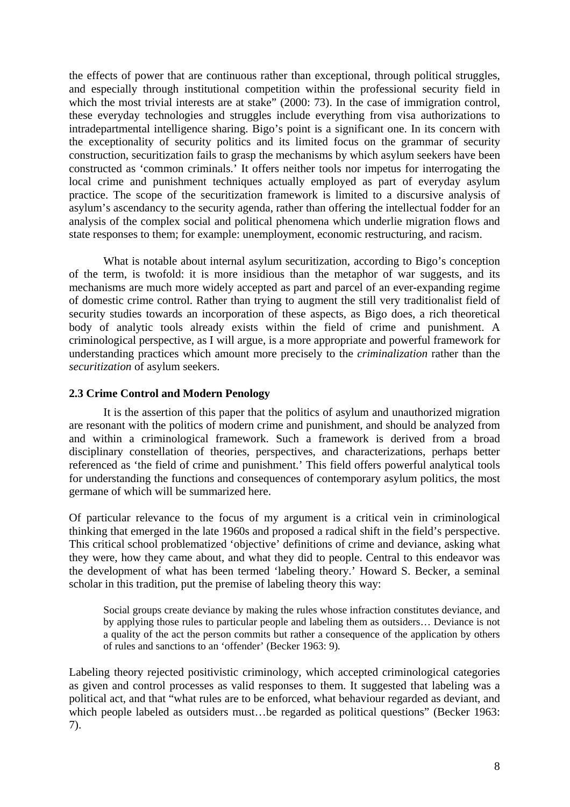<span id="page-10-0"></span>the effects of power that are continuous rather than exceptional, through political struggles, and especially through institutional competition within the professional security field in which the most trivial interests are at stake" (2000: 73). In the case of immigration control, these everyday technologies and struggles include everything from visa authorizations to intradepartmental intelligence sharing. Bigo's point is a significant one. In its concern with the exceptionality of security politics and its limited focus on the grammar of security construction, securitization fails to grasp the mechanisms by which asylum seekers have been constructed as 'common criminals.' It offers neither tools nor impetus for interrogating the local crime and punishment techniques actually employed as part of everyday asylum practice. The scope of the securitization framework is limited to a discursive analysis of asylum's ascendancy to the security agenda, rather than offering the intellectual fodder for an analysis of the complex social and political phenomena which underlie migration flows and state responses to them; for example: unemployment, economic restructuring, and racism.

What is notable about internal asylum securitization, according to Bigo's conception of the term, is twofold: it is more insidious than the metaphor of war suggests, and its mechanisms are much more widely accepted as part and parcel of an ever-expanding regime of domestic crime control. Rather than trying to augment the still very traditionalist field of security studies towards an incorporation of these aspects, as Bigo does, a rich theoretical body of analytic tools already exists within the field of crime and punishment. A criminological perspective, as I will argue, is a more appropriate and powerful framework for understanding practices which amount more precisely to the *criminalization* rather than the *securitization* of asylum seekers.

### **2.3 Crime Control and Modern Penology**

It is the assertion of this paper that the politics of asylum and unauthorized migration are resonant with the politics of modern crime and punishment, and should be analyzed from and within a criminological framework. Such a framework is derived from a broad disciplinary constellation of theories, perspectives, and characterizations, perhaps better referenced as 'the field of crime and punishment.' This field offers powerful analytical tools for understanding the functions and consequences of contemporary asylum politics, the most germane of which will be summarized here.

Of particular relevance to the focus of my argument is a critical vein in criminological thinking that emerged in the late 1960s and proposed a radical shift in the field's perspective. This critical school problematized 'objective' definitions of crime and deviance, asking what they were, how they came about, and what they did to people. Central to this endeavor was the development of what has been termed 'labeling theory.' Howard S. Becker, a seminal scholar in this tradition, put the premise of labeling theory this way:

Social groups create deviance by making the rules whose infraction constitutes deviance, and by applying those rules to particular people and labeling them as outsiders… Deviance is not a quality of the act the person commits but rather a consequence of the application by others of rules and sanctions to an 'offender' (Becker 1963: 9)*.* 

Labeling theory rejected positivistic criminology, which accepted criminological categories as given and control processes as valid responses to them. It suggested that labeling was a political act, and that "what rules are to be enforced, what behaviour regarded as deviant, and which people labeled as outsiders must...be regarded as political questions" (Becker 1963: 7).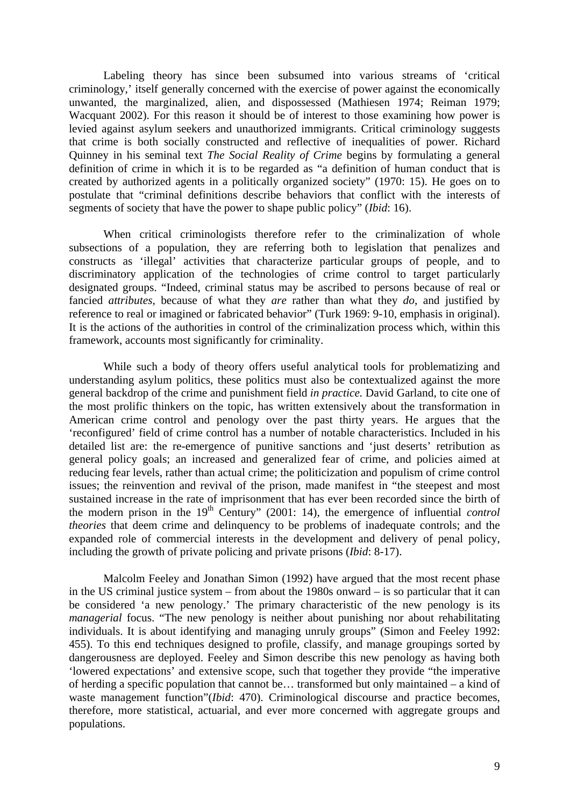Labeling theory has since been subsumed into various streams of 'critical criminology,' itself generally concerned with the exercise of power against the economically unwanted, the marginalized, alien, and dispossessed (Mathiesen 1974; Reiman 1979; Wacquant 2002). For this reason it should be of interest to those examining how power is levied against asylum seekers and unauthorized immigrants. Critical criminology suggests that crime is both socially constructed and reflective of inequalities of power. Richard Quinney in his seminal text *The Social Reality of Crime* begins by formulating a general definition of crime in which it is to be regarded as "a definition of human conduct that is created by authorized agents in a politically organized society" (1970: 15). He goes on to postulate that "criminal definitions describe behaviors that conflict with the interests of segments of society that have the power to shape public policy" (*Ibid*: 16).

When critical criminologists therefore refer to the criminalization of whole subsections of a population, they are referring both to legislation that penalizes and constructs as 'illegal' activities that characterize particular groups of people, and to discriminatory application of the technologies of crime control to target particularly designated groups. "Indeed, criminal status may be ascribed to persons because of real or fancied *attributes,* because of what they *are* rather than what they *do*, and justified by reference to real or imagined or fabricated behavior" (Turk 1969: 9-10, emphasis in original). It is the actions of the authorities in control of the criminalization process which, within this framework, accounts most significantly for criminality.

While such a body of theory offers useful analytical tools for problematizing and understanding asylum politics, these politics must also be contextualized against the more general backdrop of the crime and punishment field *in practice.* David Garland, to cite one of the most prolific thinkers on the topic, has written extensively about the transformation in American crime control and penology over the past thirty years. He argues that the 'reconfigured' field of crime control has a number of notable characteristics. Included in his detailed list are: the re-emergence of punitive sanctions and 'just deserts' retribution as general policy goals; an increased and generalized fear of crime, and policies aimed at reducing fear levels, rather than actual crime; the politicization and populism of crime control issues; the reinvention and revival of the prison, made manifest in "the steepest and most sustained increase in the rate of imprisonment that has ever been recorded since the birth of the modern prison in the 19<sup>th</sup> Century" (2001: 14), the emergence of influential *control theories* that deem crime and delinquency to be problems of inadequate controls; and the expanded role of commercial interests in the development and delivery of penal policy, including the growth of private policing and private prisons (*Ibid*: 8-17).

Malcolm Feeley and Jonathan Simon (1992) have argued that the most recent phase in the US criminal justice system – from about the 1980s onward – is so particular that it can be considered 'a new penology.' The primary characteristic of the new penology is its *managerial* focus. "The new penology is neither about punishing nor about rehabilitating individuals. It is about identifying and managing unruly groups" (Simon and Feeley 1992: 455). To this end techniques designed to profile, classify, and manage groupings sorted by dangerousness are deployed. Feeley and Simon describe this new penology as having both 'lowered expectations' and extensive scope, such that together they provide "the imperative of herding a specific population that cannot be… transformed but only maintained – a kind of waste management function"*(Ibid: 470)*. Criminological discourse and practice becomes, therefore, more statistical, actuarial, and ever more concerned with aggregate groups and populations.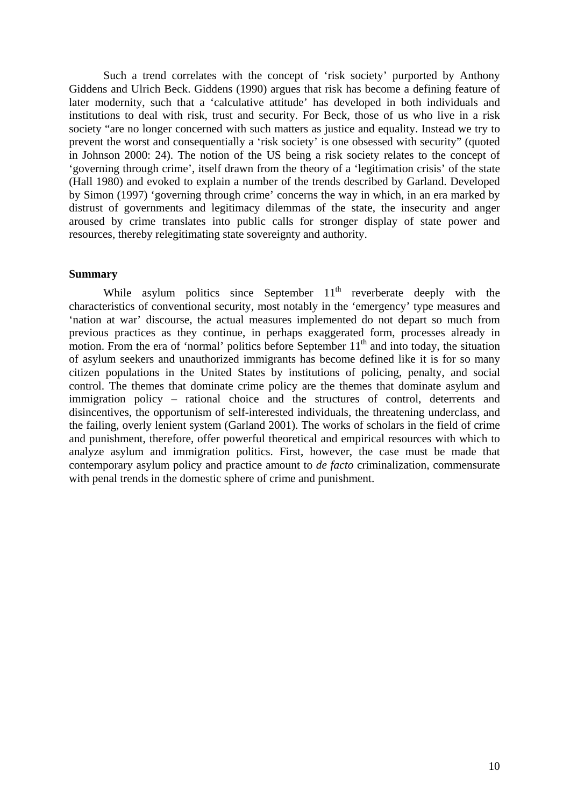<span id="page-12-0"></span>Such a trend correlates with the concept of 'risk society' purported by Anthony Giddens and Ulrich Beck. Giddens (1990) argues that risk has become a defining feature of later modernity, such that a 'calculative attitude' has developed in both individuals and institutions to deal with risk, trust and security. For Beck, those of us who live in a risk society "are no longer concerned with such matters as justice and equality. Instead we try to prevent the worst and consequentially a 'risk society' is one obsessed with security" (quoted in Johnson 2000: 24). The notion of the US being a risk society relates to the concept of 'governing through crime', itself drawn from the theory of a 'legitimation crisis' of the state (Hall 1980) and evoked to explain a number of the trends described by Garland. Developed by Simon (1997) 'governing through crime' concerns the way in which, in an era marked by distrust of governments and legitimacy dilemmas of the state, the insecurity and anger aroused by crime translates into public calls for stronger display of state power and resources, thereby relegitimating state sovereignty and authority.

### **Summary**

While asylum politics since September  $11<sup>th</sup>$  reverberate deeply with the characteristics of conventional security, most notably in the 'emergency' type measures and 'nation at war' discourse, the actual measures implemented do not depart so much from previous practices as they continue, in perhaps exaggerated form, processes already in motion. From the era of 'normal' politics before September  $11<sup>th</sup>$  and into today, the situation of asylum seekers and unauthorized immigrants has become defined like it is for so many citizen populations in the United States by institutions of policing, penalty, and social control. The themes that dominate crime policy are the themes that dominate asylum and immigration policy – rational choice and the structures of control, deterrents and disincentives, the opportunism of self-interested individuals, the threatening underclass, and the failing, overly lenient system (Garland 2001). The works of scholars in the field of crime and punishment, therefore, offer powerful theoretical and empirical resources with which to analyze asylum and immigration politics. First, however, the case must be made that contemporary asylum policy and practice amount to *de facto* criminalization, commensurate with penal trends in the domestic sphere of crime and punishment.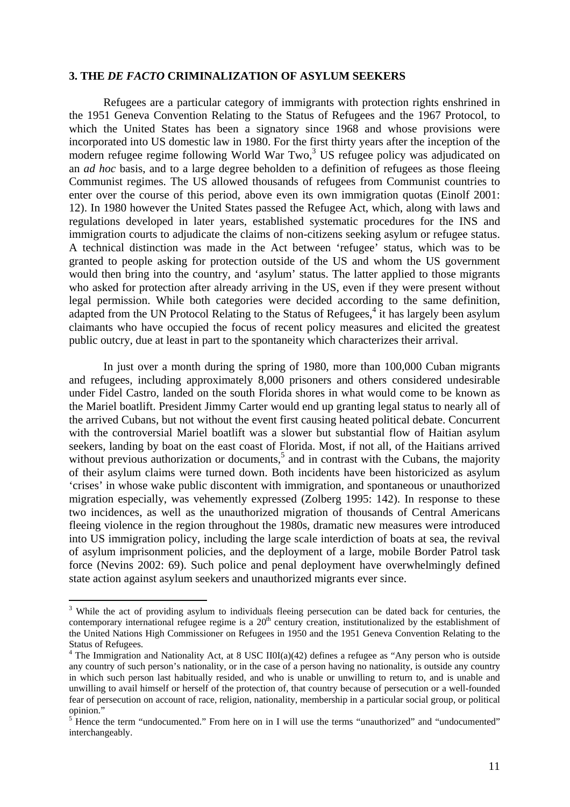### <span id="page-13-0"></span>**3. THE** *DE FACTO* **CRIMINALIZATION OF ASYLUM SEEKERS**

Refugees are a particular category of immigrants with protection rights enshrined in the 1951 Geneva Convention Relating to the Status of Refugees and the 1967 Protocol, to which the United States has been a signatory since 1968 and whose provisions were incorporated into US domestic law in 1980. For the first thirty years after the inception of the modernrefugee regime following World War Two,<sup>3</sup> US refugee policy was adjudicated on an *ad hoc* basis, and to a large degree beholden to a definition of refugees as those fleeing Communist regimes. The US allowed thousands of refugees from Communist countries to enter over the course of this period, above even its own immigration quotas (Einolf 2001: 12). In 1980 however the United States passed the Refugee Act, which, along with laws and regulations developed in later years, established systematic procedures for the INS and immigration courts to adjudicate the claims of non-citizens seeking asylum or refugee status. A technical distinction was made in the Act between 'refugee' status, which was to be granted to people asking for protection outside of the US and whom the US government would then bring into the country, and 'asylum' status. The latter applied to those migrants who asked for protection after already arriving in the US, even if they were present without legal permission. While both categories were decided according to the same definition, adapted from the UN Protocol Relating to the Status of Refugees,<sup>[4](#page-13-2)</sup> it has largely been asylum claimants who have occupied the focus of recent policy measures and elicited the greatest public outcry, due at least in part to the spontaneity which characterizes their arrival.

In just over a month during the spring of 1980, more than 100,000 Cuban migrants and refugees, including approximately 8,000 prisoners and others considered undesirable under Fidel Castro, landed on the south Florida shores in what would come to be known as the Mariel boatlift. President Jimmy Carter would end up granting legal status to nearly all of the arrived Cubans, but not without the event first causing heated political debate. Concurrent with the controversial Mariel boatlift was a slower but substantial flow of Haitian asylum seekers, landing by boat on the east coast of Florida. Most, if not all, of the Haitians arrived without previous authorization or documents,<sup>5</sup> and in contrast with the Cubans, the majority of their asylum claims were turned down. Both incidents have been historicized as asylum 'crises' in whose wake public discontent with immigration, and spontaneous or unauthorized migration especially, was vehemently expressed (Zolberg 1995: 142). In response to these two incidences, as well as the unauthorized migration of thousands of Central Americans fleeing violence in the region throughout the 1980s, dramatic new measures were introduced into US immigration policy, including the large scale interdiction of boats at sea, the revival of asylum imprisonment policies, and the deployment of a large, mobile Border Patrol task force (Nevins 2002: 69). Such police and penal deployment have overwhelmingly defined state action against asylum seekers and unauthorized migrants ever since.

<span id="page-13-1"></span><sup>&</sup>lt;sup>3</sup> While the act of providing asylum to individuals fleeing persecution can be dated back for centuries, the contemporary international refugee regime is a  $20<sup>th</sup>$  century creation, institutionalized by the establishment of the United Nations High Commissioner on Refugees in 1950 and the 1951 Geneva Convention Relating to the Status of Refugees.

<span id="page-13-2"></span><sup>&</sup>lt;sup>4</sup> The Immigration and Nationality Act, at 8 USC II0I(a)(42) defines a refugee as "Any person who is outside any country of such person's nationality, or in the case of a person having no nationality, is outside any country in which such person last habitually resided, and who is unable or unwilling to return to, and is unable and unwilling to avail himself or herself of the protection of, that country because of persecution or a well-founded fear of persecution on account of race, religion, nationality, membership in a particular social group, or political opinion."

<span id="page-13-3"></span><sup>&</sup>lt;sup>5</sup> Hence the term "undocumented." From here on in I will use the terms "unauthorized" and "undocumented" interchangeably.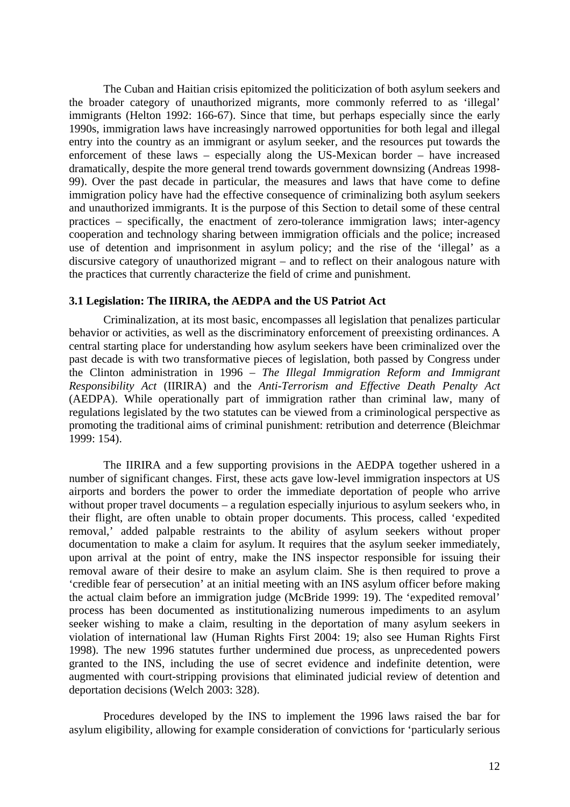<span id="page-14-0"></span>The Cuban and Haitian crisis epitomized the politicization of both asylum seekers and the broader category of unauthorized migrants, more commonly referred to as 'illegal' immigrants (Helton 1992: 166-67). Since that time, but perhaps especially since the early 1990s, immigration laws have increasingly narrowed opportunities for both legal and illegal entry into the country as an immigrant or asylum seeker, and the resources put towards the enforcement of these laws – especially along the US-Mexican border – have increased dramatically, despite the more general trend towards government downsizing (Andreas 1998- 99). Over the past decade in particular, the measures and laws that have come to define immigration policy have had the effective consequence of criminalizing both asylum seekers and unauthorized immigrants. It is the purpose of this Section to detail some of these central practices – specifically, the enactment of zero-tolerance immigration laws; inter-agency cooperation and technology sharing between immigration officials and the police; increased use of detention and imprisonment in asylum policy; and the rise of the 'illegal' as a discursive category of unauthorized migrant – and to reflect on their analogous nature with the practices that currently characterize the field of crime and punishment.

### **3.1 Legislation: The IIRIRA, the AEDPA and the US Patriot Act**

Criminalization, at its most basic, encompasses all legislation that penalizes particular behavior or activities, as well as the discriminatory enforcement of preexisting ordinances. A central starting place for understanding how asylum seekers have been criminalized over the past decade is with two transformative pieces of legislation, both passed by Congress under the Clinton administration in 1996 – *The Illegal Immigration Reform and Immigrant Responsibility Act* (IIRIRA) and the *Anti-Terrorism and Effective Death Penalty Act*  (AEDPA). While operationally part of immigration rather than criminal law, many of regulations legislated by the two statutes can be viewed from a criminological perspective as promoting the traditional aims of criminal punishment: retribution and deterrence (Bleichmar 1999: 154).

The IIRIRA and a few supporting provisions in the AEDPA together ushered in a number of significant changes. First, these acts gave low-level immigration inspectors at US airports and borders the power to order the immediate deportation of people who arrive without proper travel documents – a regulation especially injurious to asylum seekers who, in their flight, are often unable to obtain proper documents. This process, called 'expedited removal,' added palpable restraints to the ability of asylum seekers without proper documentation to make a claim for asylum. It requires that the asylum seeker immediately, upon arrival at the point of entry, make the INS inspector responsible for issuing their removal aware of their desire to make an asylum claim. She is then required to prove a 'credible fear of persecution' at an initial meeting with an INS asylum officer before making the actual claim before an immigration judge (McBride 1999: 19). The 'expedited removal' process has been documented as institutionalizing numerous impediments to an asylum seeker wishing to make a claim, resulting in the deportation of many asylum seekers in violation of international law (Human Rights First 2004: 19; also see Human Rights First 1998). The new 1996 statutes further undermined due process, as unprecedented powers granted to the INS, including the use of secret evidence and indefinite detention, were augmented with court-stripping provisions that eliminated judicial review of detention and deportation decisions (Welch 2003: 328).

Procedures developed by the INS to implement the 1996 laws raised the bar for asylum eligibility, allowing for example consideration of convictions for 'particularly serious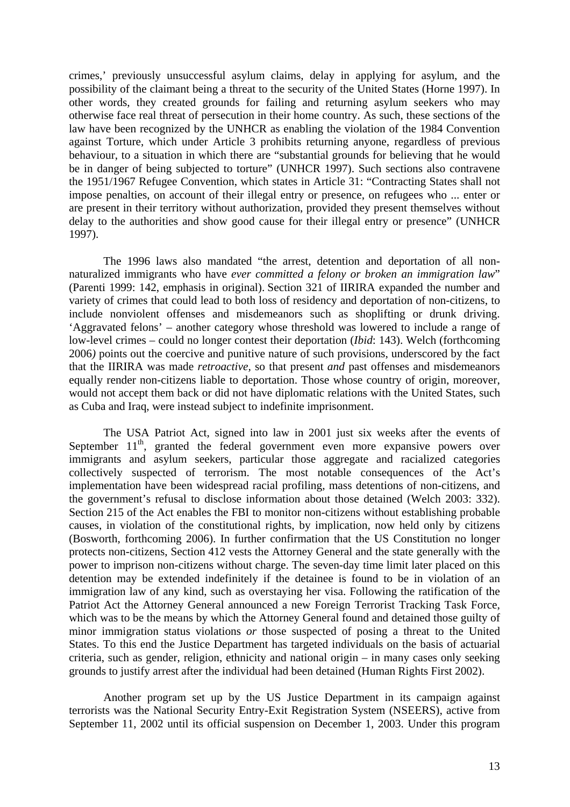crimes,' previously unsuccessful asylum claims, delay in applying for asylum, and the possibility of the claimant being a threat to the security of the United States (Horne 1997). In other words, they created grounds for failing and returning asylum seekers who may otherwise face real threat of persecution in their home country. As such, these sections of the law have been recognized by the UNHCR as enabling the violation of the 1984 Convention against Torture, which under Article 3 prohibits returning anyone, regardless of previous behaviour, to a situation in which there are "substantial grounds for believing that he would be in danger of being subjected to torture" (UNHCR 1997). Such sections also contravene the 1951/1967 Refugee Convention, which states in Article 31: "Contracting States shall not impose penalties, on account of their illegal entry or presence, on refugees who ... enter or are present in their territory without authorization, provided they present themselves without delay to the authorities and show good cause for their illegal entry or presence" (UNHCR 1997).

The 1996 laws also mandated "the arrest, detention and deportation of all nonnaturalized immigrants who have *ever committed a felony or broken an immigration law*" (Parenti 1999: 142, emphasis in original). Section 321 of IIRIRA expanded the number and variety of crimes that could lead to both loss of residency and deportation of non-citizens, to include nonviolent offenses and misdemeanors such as shoplifting or drunk driving. 'Aggravated felons' – another category whose threshold was lowered to include a range of low-level crimes – could no longer contest their deportation (*Ibid*: 143). Welch (forthcoming 2006*)* points out the coercive and punitive nature of such provisions, underscored by the fact that the IIRIRA was made *retroactive,* so that present *and* past offenses and misdemeanors equally render non-citizens liable to deportation. Those whose country of origin, moreover, would not accept them back or did not have diplomatic relations with the United States, such as Cuba and Iraq, were instead subject to indefinite imprisonment.

The USA Patriot Act, signed into law in 2001 just six weeks after the events of September  $11<sup>th</sup>$ , granted the federal government even more expansive powers over immigrants and asylum seekers, particular those aggregate and racialized categories collectively suspected of terrorism. The most notable consequences of the Act's implementation have been widespread racial profiling, mass detentions of non-citizens, and the government's refusal to disclose information about those detained (Welch 2003: 332). Section 215 of the Act enables the FBI to monitor non-citizens without establishing probable causes, in violation of the constitutional rights, by implication, now held only by citizens (Bosworth, forthcoming 2006). In further confirmation that the US Constitution no longer protects non-citizens, Section 412 vests the Attorney General and the state generally with the power to imprison non-citizens without charge. The seven-day time limit later placed on this detention may be extended indefinitely if the detainee is found to be in violation of an immigration law of any kind, such as overstaying her visa. Following the ratification of the Patriot Act the Attorney General announced a new Foreign Terrorist Tracking Task Force, which was to be the means by which the Attorney General found and detained those guilty of minor immigration status violations *or* those suspected of posing a threat to the United States. To this end the Justice Department has targeted individuals on the basis of actuarial criteria, such as gender, religion, ethnicity and national origin – in many cases only seeking grounds to justify arrest after the individual had been detained (Human Rights First 2002).

Another program set up by the US Justice Department in its campaign against terrorists was the National Security Entry-Exit Registration System (NSEERS), active from September 11, 2002 until its official suspension on December 1, 2003. Under this program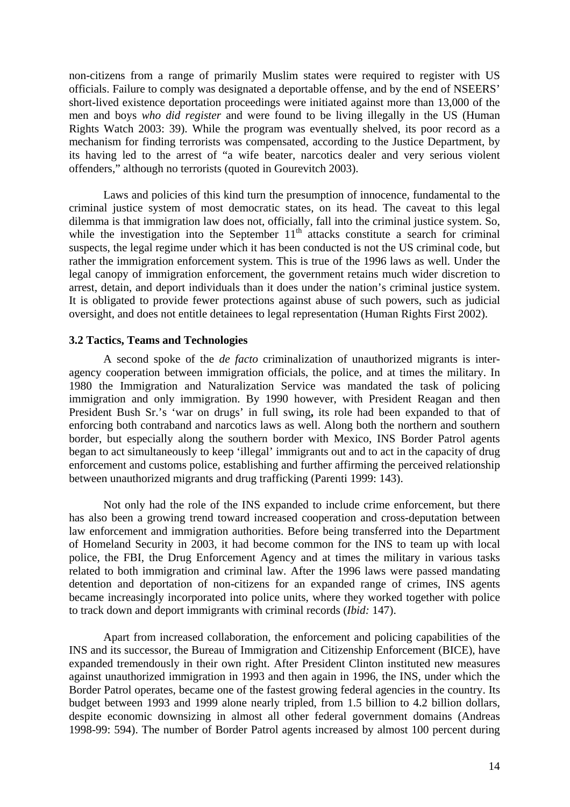<span id="page-16-0"></span>non-citizens from a range of primarily Muslim states were required to register with US officials. Failure to comply was designated a deportable offense, and by the end of NSEERS' short-lived existence deportation proceedings were initiated against more than 13,000 of the men and boys *who did register* and were found to be living illegally in the US (Human Rights Watch 2003: 39). While the program was eventually shelved, its poor record as a mechanism for finding terrorists was compensated, according to the Justice Department, by its having led to the arrest of "a wife beater, narcotics dealer and very serious violent offenders," although no terrorists (quoted in Gourevitch 2003).

Laws and policies of this kind turn the presumption of innocence, fundamental to the criminal justice system of most democratic states, on its head. The caveat to this legal dilemma is that immigration law does not, officially, fall into the criminal justice system. So, while the investigation into the September  $11<sup>th</sup>$  attacks constitute a search for criminal suspects, the legal regime under which it has been conducted is not the US criminal code, but rather the immigration enforcement system. This is true of the 1996 laws as well. Under the legal canopy of immigration enforcement, the government retains much wider discretion to arrest, detain, and deport individuals than it does under the nation's criminal justice system. It is obligated to provide fewer protections against abuse of such powers, such as judicial oversight, and does not entitle detainees to legal representation (Human Rights First 2002).

### **3.2 Tactics, Teams and Technologies**

A second spoke of the *de facto* criminalization of unauthorized migrants is interagency cooperation between immigration officials, the police, and at times the military. In 1980 the Immigration and Naturalization Service was mandated the task of policing immigration and only immigration. By 1990 however, with President Reagan and then President Bush Sr.'s 'war on drugs' in full swing**,** its role had been expanded to that of enforcing both contraband and narcotics laws as well. Along both the northern and southern border, but especially along the southern border with Mexico, INS Border Patrol agents began to act simultaneously to keep 'illegal' immigrants out and to act in the capacity of drug enforcement and customs police, establishing and further affirming the perceived relationship between unauthorized migrants and drug trafficking (Parenti 1999: 143).

Not only had the role of the INS expanded to include crime enforcement, but there has also been a growing trend toward increased cooperation and cross-deputation between law enforcement and immigration authorities. Before being transferred into the Department of Homeland Security in 2003, it had become common for the INS to team up with local police, the FBI, the Drug Enforcement Agency and at times the military in various tasks related to both immigration and criminal law. After the 1996 laws were passed mandating detention and deportation of non-citizens for an expanded range of crimes, INS agents became increasingly incorporated into police units, where they worked together with police to track down and deport immigrants with criminal records (*Ibid:* 147).

Apart from increased collaboration, the enforcement and policing capabilities of the INS and its successor, the Bureau of Immigration and Citizenship Enforcement (BICE), have expanded tremendously in their own right. After President Clinton instituted new measures against unauthorized immigration in 1993 and then again in 1996, the INS, under which the Border Patrol operates, became one of the fastest growing federal agencies in the country. Its budget between 1993 and 1999 alone nearly tripled, from 1.5 billion to 4.2 billion dollars, despite economic downsizing in almost all other federal government domains (Andreas 1998-99: 594). The number of Border Patrol agents increased by almost 100 percent during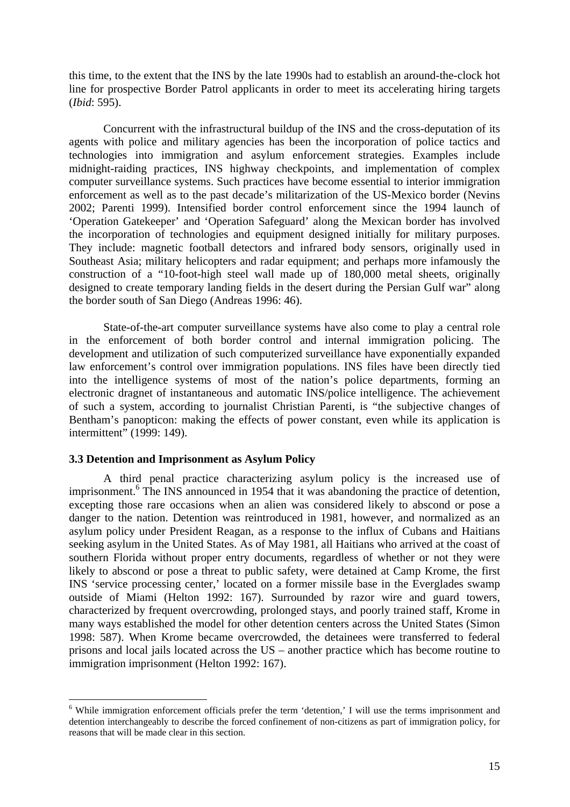<span id="page-17-0"></span>this time, to the extent that the INS by the late 1990s had to establish an around-the-clock hot line for prospective Border Patrol applicants in order to meet its accelerating hiring targets (*Ibid*: 595).

Concurrent with the infrastructural buildup of the INS and the cross-deputation of its agents with police and military agencies has been the incorporation of police tactics and technologies into immigration and asylum enforcement strategies. Examples include midnight-raiding practices, INS highway checkpoints, and implementation of complex computer surveillance systems. Such practices have become essential to interior immigration enforcement as well as to the past decade's militarization of the US-Mexico border (Nevins 2002; Parenti 1999). Intensified border control enforcement since the 1994 launch of 'Operation Gatekeeper' and 'Operation Safeguard' along the Mexican border has involved the incorporation of technologies and equipment designed initially for military purposes. They include: magnetic football detectors and infrared body sensors, originally used in Southeast Asia; military helicopters and radar equipment; and perhaps more infamously the construction of a "10-foot-high steel wall made up of 180,000 metal sheets, originally designed to create temporary landing fields in the desert during the Persian Gulf war" along the border south of San Diego (Andreas 1996: 46).

State-of-the-art computer surveillance systems have also come to play a central role in the enforcement of both border control and internal immigration policing. The development and utilization of such computerized surveillance have exponentially expanded law enforcement's control over immigration populations. INS files have been directly tied into the intelligence systems of most of the nation's police departments, forming an electronic dragnet of instantaneous and automatic INS/police intelligence. The achievement of such a system, according to journalist Christian Parenti, is "the subjective changes of Bentham's panopticon: making the effects of power constant, even while its application is intermittent" (1999: 149).

### **3.3 Detention and Imprisonment as Asylum Policy**

 $\overline{a}$ 

A third penal practice characterizing asylum policy is the increased use of imprisonment.<sup>[6](#page-17-1)</sup> The INS announced in 1954 that it was abandoning the practice of detention, excepting those rare occasions when an alien was considered likely to abscond or pose a danger to the nation. Detention was reintroduced in 1981, however, and normalized as an asylum policy under President Reagan, as a response to the influx of Cubans and Haitians seeking asylum in the United States. As of May 1981, all Haitians who arrived at the coast of southern Florida without proper entry documents, regardless of whether or not they were likely to abscond or pose a threat to public safety, were detained at Camp Krome, the first INS 'service processing center,' located on a former missile base in the Everglades swamp outside of Miami (Helton 1992: 167). Surrounded by razor wire and guard towers, characterized by frequent overcrowding, prolonged stays, and poorly trained staff, Krome in many ways established the model for other detention centers across the United States (Simon 1998: 587). When Krome became overcrowded, the detainees were transferred to federal prisons and local jails located across the US – another practice which has become routine to immigration imprisonment (Helton 1992: 167).

<span id="page-17-1"></span><sup>&</sup>lt;sup>6</sup> While immigration enforcement officials prefer the term 'detention,' I will use the terms imprisonment and detention interchangeably to describe the forced confinement of non-citizens as part of immigration policy, for reasons that will be made clear in this section.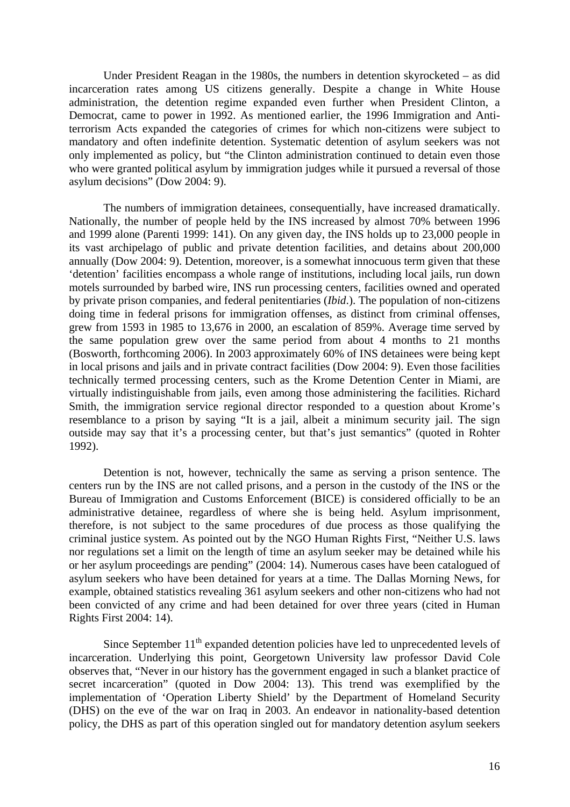Under President Reagan in the 1980s, the numbers in detention skyrocketed – as did incarceration rates among US citizens generally. Despite a change in White House administration, the detention regime expanded even further when President Clinton, a Democrat, came to power in 1992. As mentioned earlier, the 1996 Immigration and Antiterrorism Acts expanded the categories of crimes for which non-citizens were subject to mandatory and often indefinite detention. Systematic detention of asylum seekers was not only implemented as policy, but "the Clinton administration continued to detain even those who were granted political asylum by immigration judges while it pursued a reversal of those asylum decisions" (Dow 2004: 9).

The numbers of immigration detainees, consequentially, have increased dramatically. Nationally, the number of people held by the INS increased by almost 70% between 1996 and 1999 alone (Parenti 1999: 141). On any given day, the INS holds up to 23,000 people in its vast archipelago of public and private detention facilities, and detains about 200,000 annually (Dow 2004: 9). Detention, moreover, is a somewhat innocuous term given that these 'detention' facilities encompass a whole range of institutions, including local jails, run down motels surrounded by barbed wire, INS run processing centers, facilities owned and operated by private prison companies, and federal penitentiaries (*Ibid*.). The population of non-citizens doing time in federal prisons for immigration offenses, as distinct from criminal offenses, grew from 1593 in 1985 to 13,676 in 2000, an escalation of 859%. Average time served by the same population grew over the same period from about 4 months to 21 months (Bosworth, forthcoming 2006). In 2003 approximately 60% of INS detainees were being kept in local prisons and jails and in private contract facilities (Dow 2004: 9). Even those facilities technically termed processing centers, such as the Krome Detention Center in Miami, are virtually indistinguishable from jails, even among those administering the facilities. Richard Smith, the immigration service regional director responded to a question about Krome's resemblance to a prison by saying "It is a jail, albeit a minimum security jail. The sign outside may say that it's a processing center, but that's just semantics" (quoted in Rohter 1992).

Detention is not, however, technically the same as serving a prison sentence. The centers run by the INS are not called prisons, and a person in the custody of the INS or the Bureau of Immigration and Customs Enforcement (BICE) is considered officially to be an administrative detainee, regardless of where she is being held. Asylum imprisonment, therefore, is not subject to the same procedures of due process as those qualifying the criminal justice system. As pointed out by the NGO Human Rights First, "Neither U.S. laws nor regulations set a limit on the length of time an asylum seeker may be detained while his or her asylum proceedings are pending" (2004: 14). Numerous cases have been catalogued of asylum seekers who have been detained for years at a time. The Dallas Morning News, for example, obtained statistics revealing 361 asylum seekers and other non-citizens who had not been convicted of any crime and had been detained for over three years (cited in Human Rights First 2004: 14).

Since September  $11<sup>th</sup>$  expanded detention policies have led to unprecedented levels of incarceration. Underlying this point, Georgetown University law professor David Cole observes that, "Never in our history has the government engaged in such a blanket practice of secret incarceration" (quoted in Dow 2004: 13). This trend was exemplified by the implementation of 'Operation Liberty Shield' by the Department of Homeland Security (DHS) on the eve of the war on Iraq in 2003. An endeavor in nationality-based detention policy, the DHS as part of this operation singled out for mandatory detention asylum seekers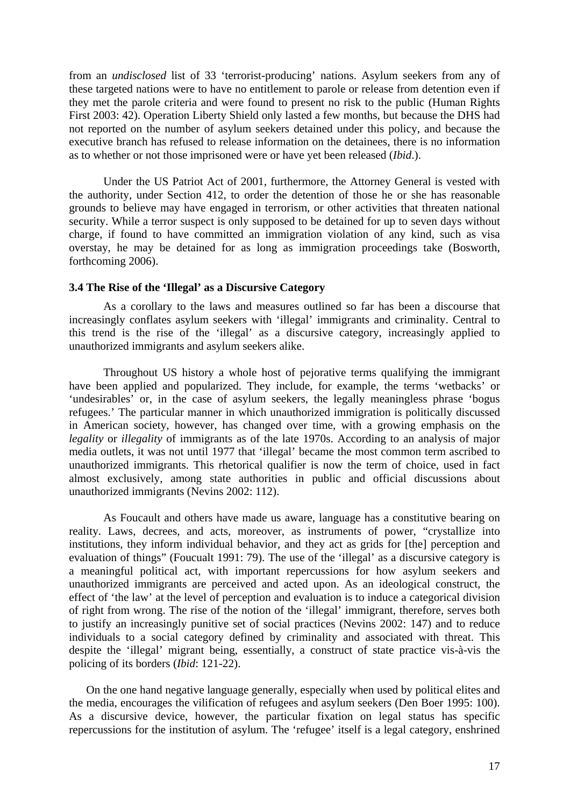<span id="page-19-0"></span>from an *undisclosed* list of 33 'terrorist-producing' nations. Asylum seekers from any of these targeted nations were to have no entitlement to parole or release from detention even if they met the parole criteria and were found to present no risk to the public (Human Rights First 2003: 42). Operation Liberty Shield only lasted a few months, but because the DHS had not reported on the number of asylum seekers detained under this policy, and because the executive branch has refused to release information on the detainees, there is no information as to whether or not those imprisoned were or have yet been released (*Ibid*.).

Under the US Patriot Act of 2001, furthermore, the Attorney General is vested with the authority, under Section 412, to order the detention of those he or she has reasonable grounds to believe may have engaged in terrorism, or other activities that threaten national security. While a terror suspect is only supposed to be detained for up to seven days without charge, if found to have committed an immigration violation of any kind, such as visa overstay, he may be detained for as long as immigration proceedings take (Bosworth, forthcoming 2006).

### **3.4 The Rise of the 'Illegal' as a Discursive Category**

As a corollary to the laws and measures outlined so far has been a discourse that increasingly conflates asylum seekers with 'illegal' immigrants and criminality. Central to this trend is the rise of the 'illegal' as a discursive category, increasingly applied to unauthorized immigrants and asylum seekers alike.

Throughout US history a whole host of pejorative terms qualifying the immigrant have been applied and popularized. They include, for example, the terms 'wetbacks' or 'undesirables' or, in the case of asylum seekers, the legally meaningless phrase 'bogus refugees.' The particular manner in which unauthorized immigration is politically discussed in American society, however, has changed over time, with a growing emphasis on the *legality* or *illegality* of immigrants as of the late 1970s. According to an analysis of major media outlets, it was not until 1977 that 'illegal' became the most common term ascribed to unauthorized immigrants. This rhetorical qualifier is now the term of choice, used in fact almost exclusively, among state authorities in public and official discussions about unauthorized immigrants (Nevins 2002: 112).

As Foucault and others have made us aware, language has a constitutive bearing on reality. Laws, decrees, and acts, moreover, as instruments of power, "crystallize into institutions, they inform individual behavior, and they act as grids for [the] perception and evaluation of things" (Foucualt 1991: 79). The use of the 'illegal' as a discursive category is a meaningful political act, with important repercussions for how asylum seekers and unauthorized immigrants are perceived and acted upon. As an ideological construct, the effect of 'the law' at the level of perception and evaluation is to induce a categorical division of right from wrong. The rise of the notion of the 'illegal' immigrant, therefore, serves both to justify an increasingly punitive set of social practices (Nevins 2002: 147) and to reduce individuals to a social category defined by criminality and associated with threat. This despite the 'illegal' migrant being, essentially, a construct of state practice vis-à-vis the policing of its borders (*Ibid*: 121-22).

On the one hand negative language generally, especially when used by political elites and the media, encourages the vilification of refugees and asylum seekers (Den Boer 1995: 100). As a discursive device, however, the particular fixation on legal status has specific repercussions for the institution of asylum. The 'refugee' itself is a legal category, enshrined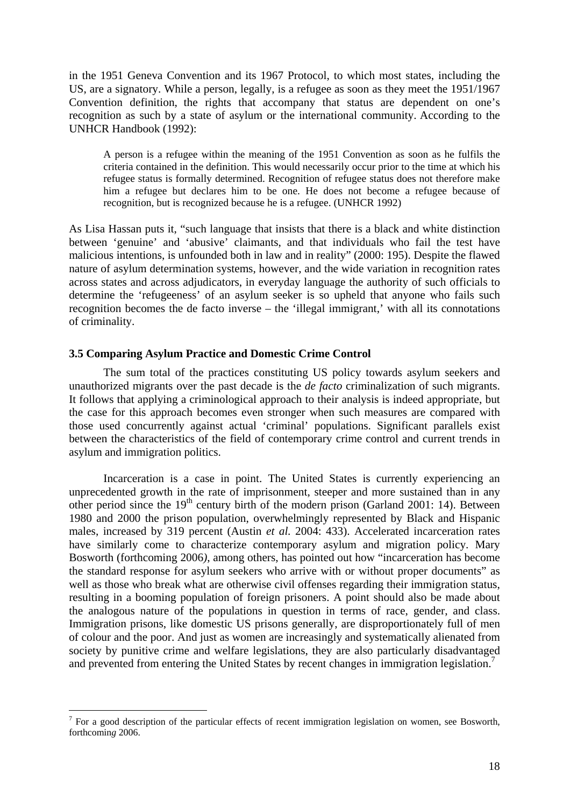<span id="page-20-0"></span>in the 1951 Geneva Convention and its 1967 Protocol, to which most states, including the US, are a signatory. While a person, legally, is a refugee as soon as they meet the 1951/1967 Convention definition, the rights that accompany that status are dependent on one's recognition as such by a state of asylum or the international community. According to the UNHCR Handbook (1992):

A person is a refugee within the meaning of the 1951 Convention as soon as he fulfils the criteria contained in the definition. This would necessarily occur prior to the time at which his refugee status is formally determined. Recognition of refugee status does not therefore make him a refugee but declares him to be one. He does not become a refugee because of recognition, but is recognized because he is a refugee. (UNHCR 1992)

As Lisa Hassan puts it, "such language that insists that there is a black and white distinction between 'genuine' and 'abusive' claimants, and that individuals who fail the test have malicious intentions, is unfounded both in law and in reality" (2000: 195). Despite the flawed nature of asylum determination systems, however, and the wide variation in recognition rates across states and across adjudicators, in everyday language the authority of such officials to determine the 'refugeeness' of an asylum seeker is so upheld that anyone who fails such recognition becomes the de facto inverse – the 'illegal immigrant,' with all its connotations of criminality.

### **3.5 Comparing Asylum Practice and Domestic Crime Control**

The sum total of the practices constituting US policy towards asylum seekers and unauthorized migrants over the past decade is the *de facto* criminalization of such migrants. It follows that applying a criminological approach to their analysis is indeed appropriate, but the case for this approach becomes even stronger when such measures are compared with those used concurrently against actual 'criminal' populations. Significant parallels exist between the characteristics of the field of contemporary crime control and current trends in asylum and immigration politics.

Incarceration is a case in point. The United States is currently experiencing an unprecedented growth in the rate of imprisonment, steeper and more sustained than in any other period since the  $19<sup>th</sup>$  century birth of the modern prison (Garland 2001: 14). Between 1980 and 2000 the prison population, overwhelmingly represented by Black and Hispanic males, increased by 319 percent (Austin *et al.* 2004: 433). Accelerated incarceration rates have similarly come to characterize contemporary asylum and migration policy. Mary Bosworth (forthcoming 2006*)*, among others, has pointed out how "incarceration has become the standard response for asylum seekers who arrive with or without proper documents" as well as those who break what are otherwise civil offenses regarding their immigration status, resulting in a booming population of foreign prisoners. A point should also be made about the analogous nature of the populations in question in terms of race, gender, and class. Immigration prisons, like domestic US prisons generally, are disproportionately full of men of colour and the poor. And just as women are increasingly and systematically alienated from society by punitive crime and welfare legislations, they are also particularly disadvantaged and prevented from entering the United States by recent changes in immigration legislation.<sup>[7](#page-20-1)</sup>

<span id="page-20-1"></span> $<sup>7</sup>$  For a good description of the particular effects of recent immigration legislation on women, see Bosworth,</sup> forthcomin*g* 2006.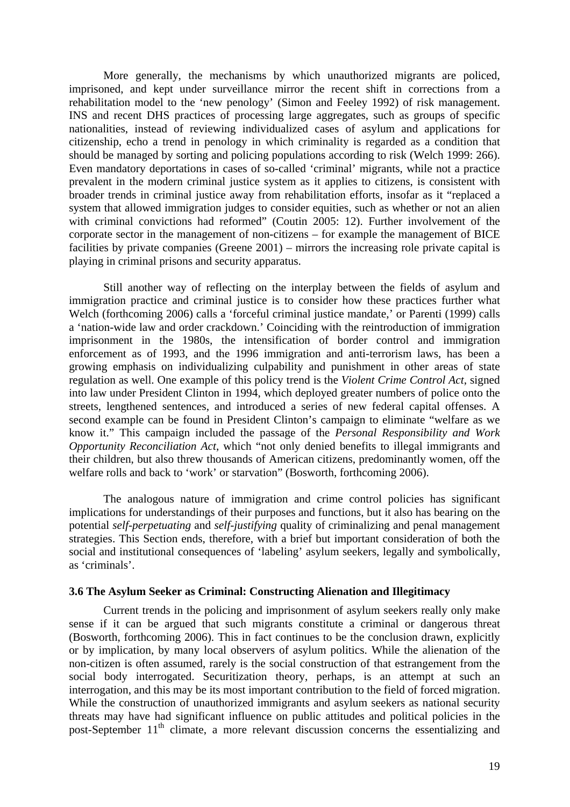<span id="page-21-0"></span>More generally, the mechanisms by which unauthorized migrants are policed, imprisoned, and kept under surveillance mirror the recent shift in corrections from a rehabilitation model to the 'new penology' (Simon and Feeley 1992) of risk management. INS and recent DHS practices of processing large aggregates, such as groups of specific nationalities, instead of reviewing individualized cases of asylum and applications for citizenship, echo a trend in penology in which criminality is regarded as a condition that should be managed by sorting and policing populations according to risk (Welch 1999: 266). Even mandatory deportations in cases of so-called 'criminal' migrants, while not a practice prevalent in the modern criminal justice system as it applies to citizens, is consistent with broader trends in criminal justice away from rehabilitation efforts, insofar as it "replaced a system that allowed immigration judges to consider equities, such as whether or not an alien with criminal convictions had reformed" (Coutin 2005: 12). Further involvement of the corporate sector in the management of non-citizens – for example the management of BICE facilities by private companies (Greene 2001) – mirrors the increasing role private capital is playing in criminal prisons and security apparatus.

Still another way of reflecting on the interplay between the fields of asylum and immigration practice and criminal justice is to consider how these practices further what Welch (forthcoming 2006) calls a 'forceful criminal justice mandate,' or Parenti (1999) calls a 'nation-wide law and order crackdown.' Coinciding with the reintroduction of immigration imprisonment in the 1980s, the intensification of border control and immigration enforcement as of 1993, and the 1996 immigration and anti-terrorism laws, has been a growing emphasis on individualizing culpability and punishment in other areas of state regulation as well. One example of this policy trend is the *Violent Crime Control Act*, signed into law under President Clinton in 1994, which deployed greater numbers of police onto the streets, lengthened sentences, and introduced a series of new federal capital offenses. A second example can be found in President Clinton's campaign to eliminate "welfare as we know it." This campaign included the passage of the *Personal Responsibility and Work Opportunity Reconciliation Act*, which "not only denied benefits to illegal immigrants and their children, but also threw thousands of American citizens, predominantly women, off the welfare rolls and back to 'work' or starvation" (Bosworth, forthcoming 2006).

The analogous nature of immigration and crime control policies has significant implications for understandings of their purposes and functions, but it also has bearing on the potential *self-perpetuating* and *self-justifying* quality of criminalizing and penal management strategies. This Section ends, therefore, with a brief but important consideration of both the social and institutional consequences of 'labeling' asylum seekers, legally and symbolically, as 'criminals'.

### **3.6 The Asylum Seeker as Criminal: Constructing Alienation and Illegitimacy**

Current trends in the policing and imprisonment of asylum seekers really only make sense if it can be argued that such migrants constitute a criminal or dangerous threat (Bosworth, forthcoming 2006). This in fact continues to be the conclusion drawn, explicitly or by implication, by many local observers of asylum politics. While the alienation of the non-citizen is often assumed, rarely is the social construction of that estrangement from the social body interrogated. Securitization theory, perhaps, is an attempt at such an interrogation, and this may be its most important contribution to the field of forced migration. While the construction of unauthorized immigrants and asylum seekers as national security threats may have had significant influence on public attitudes and political policies in the post-September 11<sup>th</sup> climate, a more relevant discussion concerns the essentializing and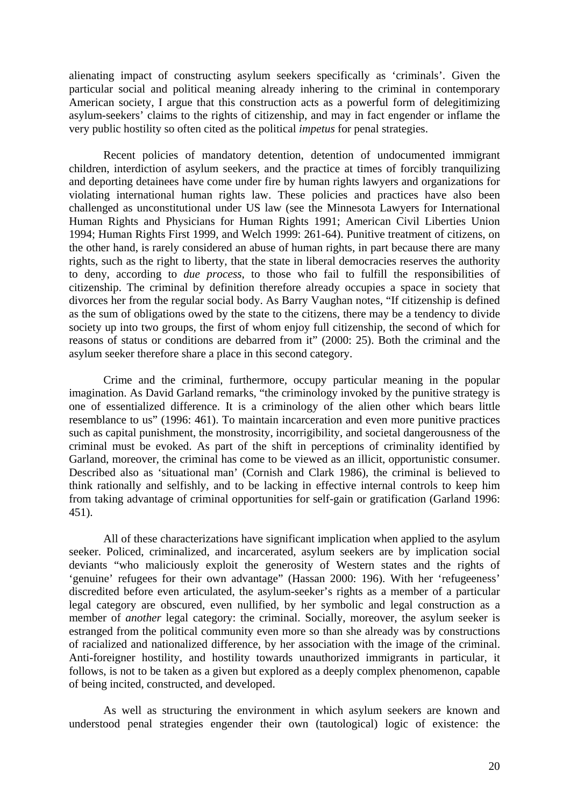alienating impact of constructing asylum seekers specifically as 'criminals'. Given the particular social and political meaning already inhering to the criminal in contemporary American society, I argue that this construction acts as a powerful form of delegitimizing asylum-seekers' claims to the rights of citizenship, and may in fact engender or inflame the very public hostility so often cited as the political *impetus* for penal strategies.

Recent policies of mandatory detention, detention of undocumented immigrant children, interdiction of asylum seekers, and the practice at times of forcibly tranquilizing and deporting detainees have come under fire by human rights lawyers and organizations for violating international human rights law. These policies and practices have also been challenged as unconstitutional under US law (see the Minnesota Lawyers for International Human Rights and Physicians for Human Rights 1991; American Civil Liberties Union 1994; Human Rights First 1999, and Welch 1999: 261-64). Punitive treatment of citizens, on the other hand, is rarely considered an abuse of human rights, in part because there are many rights, such as the right to liberty, that the state in liberal democracies reserves the authority to deny, according to *due process*, to those who fail to fulfill the responsibilities of citizenship. The criminal by definition therefore already occupies a space in society that divorces her from the regular social body. As Barry Vaughan notes, "If citizenship is defined as the sum of obligations owed by the state to the citizens, there may be a tendency to divide society up into two groups, the first of whom enjoy full citizenship, the second of which for reasons of status or conditions are debarred from it" (2000: 25). Both the criminal and the asylum seeker therefore share a place in this second category.

Crime and the criminal, furthermore, occupy particular meaning in the popular imagination. As David Garland remarks, "the criminology invoked by the punitive strategy is one of essentialized difference. It is a criminology of the alien other which bears little resemblance to us" (1996: 461). To maintain incarceration and even more punitive practices such as capital punishment, the monstrosity, incorrigibility, and societal dangerousness of the criminal must be evoked. As part of the shift in perceptions of criminality identified by Garland, moreover, the criminal has come to be viewed as an illicit, opportunistic consumer. Described also as 'situational man' (Cornish and Clark 1986), the criminal is believed to think rationally and selfishly, and to be lacking in effective internal controls to keep him from taking advantage of criminal opportunities for self-gain or gratification (Garland 1996: 451).

All of these characterizations have significant implication when applied to the asylum seeker. Policed, criminalized, and incarcerated, asylum seekers are by implication social deviants "who maliciously exploit the generosity of Western states and the rights of 'genuine' refugees for their own advantage" (Hassan 2000: 196). With her 'refugeeness' discredited before even articulated, the asylum-seeker's rights as a member of a particular legal category are obscured, even nullified, by her symbolic and legal construction as a member of *another* legal category: the criminal. Socially, moreover, the asylum seeker is estranged from the political community even more so than she already was by constructions of racialized and nationalized difference, by her association with the image of the criminal. Anti-foreigner hostility, and hostility towards unauthorized immigrants in particular, it follows, is not to be taken as a given but explored as a deeply complex phenomenon, capable of being incited, constructed, and developed.

As well as structuring the environment in which asylum seekers are known and understood penal strategies engender their own (tautological) logic of existence: the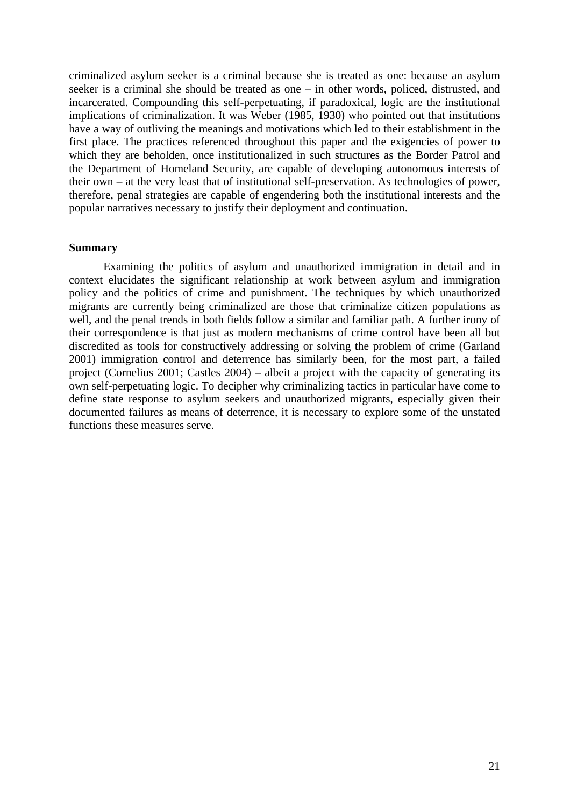<span id="page-23-0"></span>criminalized asylum seeker is a criminal because she is treated as one: because an asylum seeker is a criminal she should be treated as one – in other words, policed, distrusted, and incarcerated. Compounding this self-perpetuating, if paradoxical, logic are the institutional implications of criminalization. It was Weber (1985, 1930) who pointed out that institutions have a way of outliving the meanings and motivations which led to their establishment in the first place. The practices referenced throughout this paper and the exigencies of power to which they are beholden, once institutionalized in such structures as the Border Patrol and the Department of Homeland Security, are capable of developing autonomous interests of their own – at the very least that of institutional self-preservation. As technologies of power, therefore, penal strategies are capable of engendering both the institutional interests and the popular narratives necessary to justify their deployment and continuation.

### **Summary**

Examining the politics of asylum and unauthorized immigration in detail and in context elucidates the significant relationship at work between asylum and immigration policy and the politics of crime and punishment. The techniques by which unauthorized migrants are currently being criminalized are those that criminalize citizen populations as well, and the penal trends in both fields follow a similar and familiar path. A further irony of their correspondence is that just as modern mechanisms of crime control have been all but discredited as tools for constructively addressing or solving the problem of crime (Garland 2001) immigration control and deterrence has similarly been, for the most part, a failed project (Cornelius 2001; Castles 2004) – albeit a project with the capacity of generating its own self-perpetuating logic. To decipher why criminalizing tactics in particular have come to define state response to asylum seekers and unauthorized migrants, especially given their documented failures as means of deterrence, it is necessary to explore some of the unstated functions these measures serve.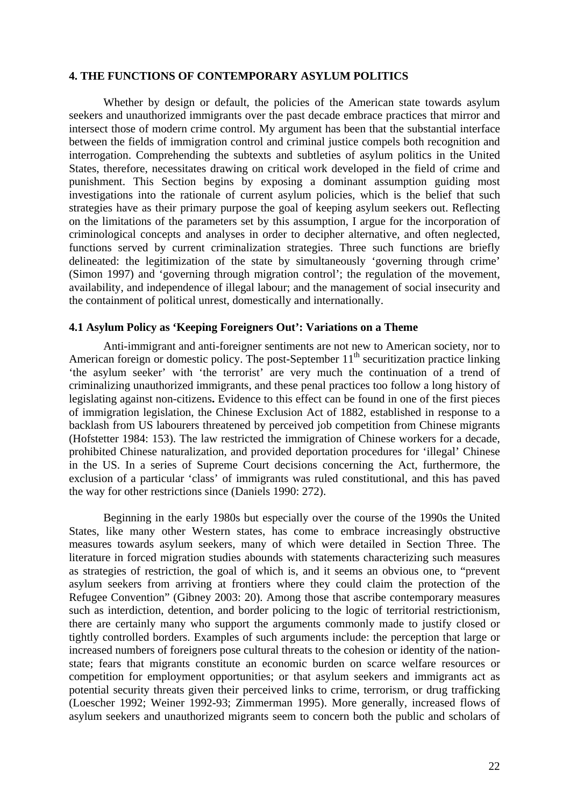### <span id="page-24-0"></span>**4. THE FUNCTIONS OF CONTEMPORARY ASYLUM POLITICS**

Whether by design or default, the policies of the American state towards asylum seekers and unauthorized immigrants over the past decade embrace practices that mirror and intersect those of modern crime control. My argument has been that the substantial interface between the fields of immigration control and criminal justice compels both recognition and interrogation. Comprehending the subtexts and subtleties of asylum politics in the United States, therefore, necessitates drawing on critical work developed in the field of crime and punishment. This Section begins by exposing a dominant assumption guiding most investigations into the rationale of current asylum policies, which is the belief that such strategies have as their primary purpose the goal of keeping asylum seekers out. Reflecting on the limitations of the parameters set by this assumption, I argue for the incorporation of criminological concepts and analyses in order to decipher alternative, and often neglected, functions served by current criminalization strategies. Three such functions are briefly delineated: the legitimization of the state by simultaneously 'governing through crime' (Simon 1997) and 'governing through migration control'; the regulation of the movement, availability, and independence of illegal labour; and the management of social insecurity and the containment of political unrest, domestically and internationally.

### **4.1 Asylum Policy as 'Keeping Foreigners Out': Variations on a Theme**

Anti-immigrant and anti-foreigner sentiments are not new to American society, nor to American foreign or domestic policy. The post-September  $11<sup>th</sup>$  securitization practice linking 'the asylum seeker' with 'the terrorist' are very much the continuation of a trend of criminalizing unauthorized immigrants, and these penal practices too follow a long history of legislating against non-citizens**.** Evidence to this effect can be found in one of the first pieces of immigration legislation, the Chinese Exclusion Act of 1882, established in response to a backlash from US labourers threatened by perceived job competition from Chinese migrants (Hofstetter 1984: 153). The law restricted the immigration of Chinese workers for a decade, prohibited Chinese naturalization, and provided deportation procedures for 'illegal' Chinese in the US. In a series of Supreme Court decisions concerning the Act, furthermore, the exclusion of a particular 'class' of immigrants was ruled constitutional, and this has paved the way for other restrictions since (Daniels 1990: 272).

Beginning in the early 1980s but especially over the course of the 1990s the United States, like many other Western states, has come to embrace increasingly obstructive measures towards asylum seekers, many of which were detailed in Section Three. The literature in forced migration studies abounds with statements characterizing such measures as strategies of restriction, the goal of which is, and it seems an obvious one, to "prevent asylum seekers from arriving at frontiers where they could claim the protection of the Refugee Convention" (Gibney 2003: 20). Among those that ascribe contemporary measures such as interdiction, detention, and border policing to the logic of territorial restrictionism, there are certainly many who support the arguments commonly made to justify closed or tightly controlled borders. Examples of such arguments include: the perception that large or increased numbers of foreigners pose cultural threats to the cohesion or identity of the nationstate; fears that migrants constitute an economic burden on scarce welfare resources or competition for employment opportunities; or that asylum seekers and immigrants act as potential security threats given their perceived links to crime, terrorism, or drug trafficking (Loescher 1992; Weiner 1992-93; Zimmerman 1995). More generally, increased flows of asylum seekers and unauthorized migrants seem to concern both the public and scholars of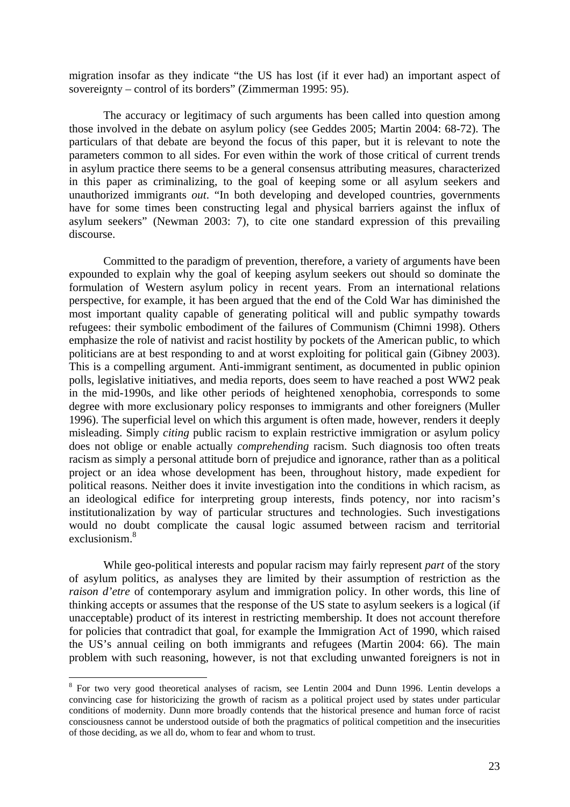migration insofar as they indicate "the US has lost (if it ever had) an important aspect of sovereignty – control of its borders" (Zimmerman 1995: 95).

The accuracy or legitimacy of such arguments has been called into question among those involved in the debate on asylum policy (see Geddes 2005; Martin 2004: 68-72). The particulars of that debate are beyond the focus of this paper, but it is relevant to note the parameters common to all sides. For even within the work of those critical of current trends in asylum practice there seems to be a general consensus attributing measures, characterized in this paper as criminalizing, to the goal of keeping some or all asylum seekers and unauthorized immigrants *out*. "In both developing and developed countries, governments have for some times been constructing legal and physical barriers against the influx of asylum seekers" (Newman 2003: 7), to cite one standard expression of this prevailing discourse.

Committed to the paradigm of prevention, therefore, a variety of arguments have been expounded to explain why the goal of keeping asylum seekers out should so dominate the formulation of Western asylum policy in recent years. From an international relations perspective, for example, it has been argued that the end of the Cold War has diminished the most important quality capable of generating political will and public sympathy towards refugees: their symbolic embodiment of the failures of Communism (Chimni 1998). Others emphasize the role of nativist and racist hostility by pockets of the American public, to which politicians are at best responding to and at worst exploiting for political gain (Gibney 2003). This is a compelling argument. Anti-immigrant sentiment, as documented in public opinion polls, legislative initiatives, and media reports, does seem to have reached a post WW2 peak in the mid-1990s, and like other periods of heightened xenophobia, corresponds to some degree with more exclusionary policy responses to immigrants and other foreigners (Muller 1996). The superficial level on which this argument is often made, however, renders it deeply misleading. Simply *citing* public racism to explain restrictive immigration or asylum policy does not oblige or enable actually *comprehending* racism. Such diagnosis too often treats racism as simply a personal attitude born of prejudice and ignorance, rather than as a political project or an idea whose development has been, throughout history, made expedient for political reasons. Neither does it invite investigation into the conditions in which racism, as an ideological edifice for interpreting group interests, finds potency, nor into racism's institutionalization by way of particular structures and technologies. Such investigations would no doubt complicate the causal logic assumed between racism and territorial exclusionism.<sup>[8](#page-25-0)</sup>

While geo-political interests and popular racism may fairly represent *part* of the story of asylum politics, as analyses they are limited by their assumption of restriction as the *raison d'etre* of contemporary asylum and immigration policy. In other words, this line of thinking accepts or assumes that the response of the US state to asylum seekers is a logical (if unacceptable) product of its interest in restricting membership. It does not account therefore for policies that contradict that goal, for example the Immigration Act of 1990, which raised the US's annual ceiling on both immigrants and refugees (Martin 2004: 66). The main problem with such reasoning, however, is not that excluding unwanted foreigners is not in

<span id="page-25-0"></span><sup>&</sup>lt;sup>8</sup> For two very good theoretical analyses of racism, see Lentin 2004 and Dunn 1996. Lentin develops a convincing case for historicizing the growth of racism as a political project used by states under particular conditions of modernity. Dunn more broadly contends that the historical presence and human force of racist consciousness cannot be understood outside of both the pragmatics of political competition and the insecurities of those deciding, as we all do, whom to fear and whom to trust.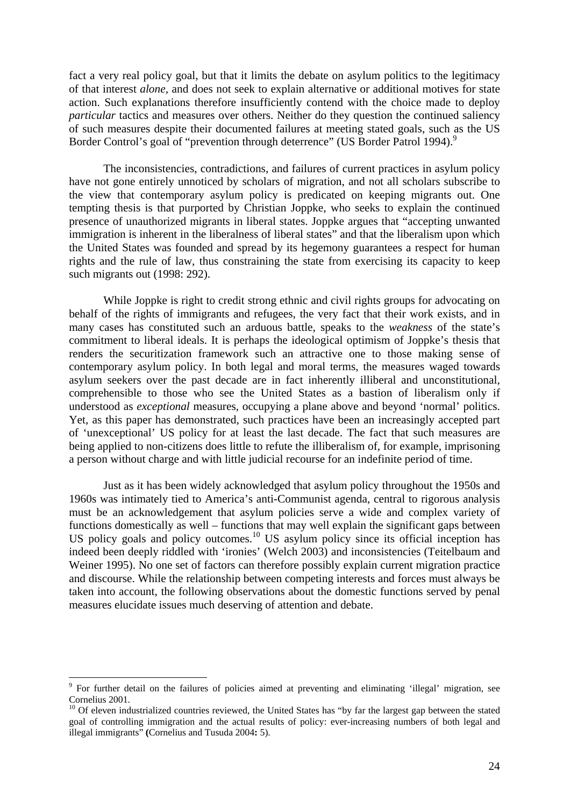fact a very real policy goal, but that it limits the debate on asylum politics to the legitimacy of that interest *alone,* and does not seek to explain alternative or additional motives for state action. Such explanations therefore insufficiently contend with the choice made to deploy *particular* tactics and measures over others. Neither do they question the continued saliency of such measures despite their documented failures at meeting stated goals, such as the US Border Control's goal of "prevention through deterrence" (US Border Patrol 1[9](#page-26-0)94).<sup>9</sup>

The inconsistencies, contradictions, and failures of current practices in asylum policy have not gone entirely unnoticed by scholars of migration, and not all scholars subscribe to the view that contemporary asylum policy is predicated on keeping migrants out. One tempting thesis is that purported by Christian Joppke, who seeks to explain the continued presence of unauthorized migrants in liberal states. Joppke argues that "accepting unwanted immigration is inherent in the liberalness of liberal states" and that the liberalism upon which the United States was founded and spread by its hegemony guarantees a respect for human rights and the rule of law, thus constraining the state from exercising its capacity to keep such migrants out (1998: 292).

While Joppke is right to credit strong ethnic and civil rights groups for advocating on behalf of the rights of immigrants and refugees, the very fact that their work exists, and in many cases has constituted such an arduous battle, speaks to the *weakness* of the state's commitment to liberal ideals. It is perhaps the ideological optimism of Joppke's thesis that renders the securitization framework such an attractive one to those making sense of contemporary asylum policy. In both legal and moral terms, the measures waged towards asylum seekers over the past decade are in fact inherently illiberal and unconstitutional, comprehensible to those who see the United States as a bastion of liberalism only if understood as *exceptional* measures, occupying a plane above and beyond 'normal' politics. Yet, as this paper has demonstrated, such practices have been an increasingly accepted part of 'unexceptional' US policy for at least the last decade. The fact that such measures are being applied to non-citizens does little to refute the illiberalism of, for example, imprisoning a person without charge and with little judicial recourse for an indefinite period of time.

Just as it has been widely acknowledged that asylum policy throughout the 1950s and 1960s was intimately tied to America's anti-Communist agenda, central to rigorous analysis must be an acknowledgement that asylum policies serve a wide and complex variety of functions domestically as well – functions that may well explain the significant gaps between US policy goals and policy outcomes.<sup>10</sup> US asylum policy since its official inception has indeed been deeply riddled with 'ironies' (Welch 2003) and inconsistencies (Teitelbaum and Weiner 1995). No one set of factors can therefore possibly explain current migration practice and discourse. While the relationship between competing interests and forces must always be taken into account, the following observations about the domestic functions served by penal measures elucidate issues much deserving of attention and debate.

<span id="page-26-0"></span><sup>&</sup>lt;sup>9</sup> For further detail on the failures of policies aimed at preventing and eliminating 'illegal' migration, see Cornelius 2001.<br><sup>10</sup> Of eleven industrialized countries reviewed, the United States has "by far the largest gap between the stated

<span id="page-26-1"></span>goal of controlling immigration and the actual results of policy: ever-increasing numbers of both legal and illegal immigrants" **(**Cornelius and Tusuda 2004**:** 5).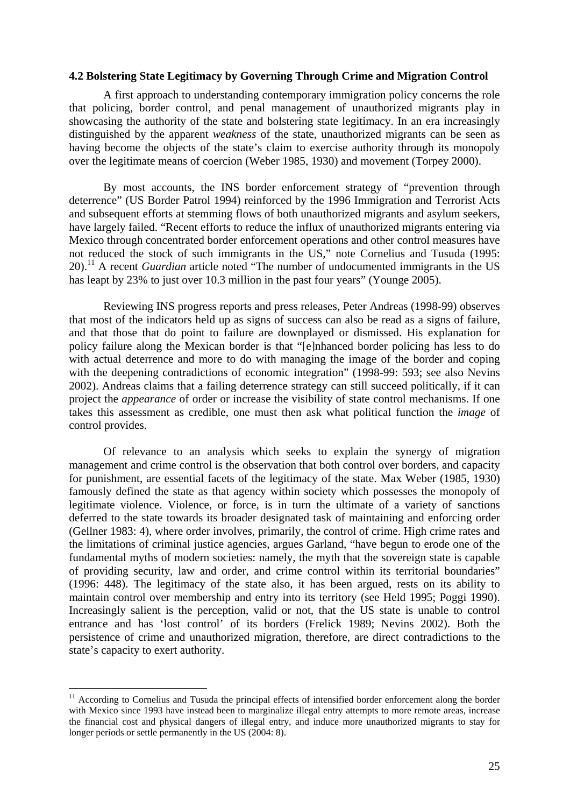### <span id="page-27-0"></span>**4.2 Bolstering State Legitimacy by Governing Through Crime and Migration Control**

A first approach to understanding contemporary immigration policy concerns the role that policing, border control, and penal management of unauthorized migrants play in showcasing the authority of the state and bolstering state legitimacy. In an era increasingly distinguished by the apparent *weakness* of the state, unauthorized migrants can be seen as having become the objects of the state's claim to exercise authority through its monopoly over the legitimate means of coercion (Weber 1985, 1930) and movement (Torpey 2000).

By most accounts, the INS border enforcement strategy of "prevention through deterrence" (US Border Patrol 1994) reinforced by the 1996 Immigration and Terrorist Acts and subsequent efforts at stemming flows of both unauthorized migrants and asylum seekers, have largely failed. "Recent efforts to reduce the influx of unauthorized migrants entering via Mexico through concentrated border enforcement operations and other control measures have not reduced the stock of such immigrants in the US," note Cornelius and Tusuda (1995: 20).<sup>11</sup> A recent *Guardian* article noted "The number of undocumented immigrants in the US has leapt by 23% to just over 10.3 million in the past four years" (Younge 2005).

Reviewing INS progress reports and press releases, Peter Andreas (1998-99) observes that most of the indicators held up as signs of success can also be read as a signs of failure, and that those that do point to failure are downplayed or dismissed. His explanation for policy failure along the Mexican border is that "[e]nhanced border policing has less to do with actual deterrence and more to do with managing the image of the border and coping with the deepening contradictions of economic integration" (1998-99: 593; see also Nevins 2002). Andreas claims that a failing deterrence strategy can still succeed politically, if it can project the *appearance* of order or increase the visibility of state control mechanisms. If one takes this assessment as credible, one must then ask what political function the *image* of control provides.

Of relevance to an analysis which seeks to explain the synergy of migration management and crime control is the observation that both control over borders, and capacity for punishment, are essential facets of the legitimacy of the state. Max Weber (1985, 1930) famously defined the state as that agency within society which possesses the monopoly of legitimate violence. Violence, or force, is in turn the ultimate of a variety of sanctions deferred to the state towards its broader designated task of maintaining and enforcing order (Gellner 1983: 4), where order involves, primarily, the control of crime. High crime rates and the limitations of criminal justice agencies, argues Garland, "have begun to erode one of the fundamental myths of modern societies: namely, the myth that the sovereign state is capable of providing security, law and order, and crime control within its territorial boundaries" (1996: 448). The legitimacy of the state also, it has been argued, rests on its ability to maintain control over membership and entry into its territory (see Held 1995; Poggi 1990). Increasingly salient is the perception, valid or not, that the US state is unable to control entrance and has 'lost control' of its borders (Frelick 1989; Nevins 2002). Both the persistence of crime and unauthorized migration, therefore, are direct contradictions to the state's capacity to exert authority.

<span id="page-27-1"></span><sup>&</sup>lt;sup>11</sup> According to Cornelius and Tusuda the principal effects of intensified border enforcement along the border with Mexico since 1993 have instead been to marginalize illegal entry attempts to more remote areas, increase the financial cost and physical dangers of illegal entry, and induce more unauthorized migrants to stay for longer periods or settle permanently in the US (2004: 8).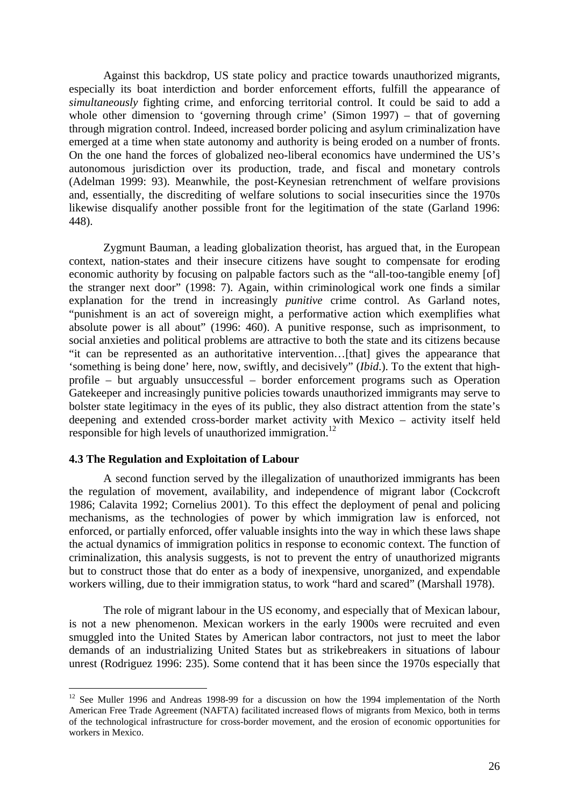<span id="page-28-0"></span>Against this backdrop, US state policy and practice towards unauthorized migrants, especially its boat interdiction and border enforcement efforts, fulfill the appearance of *simultaneously* fighting crime, and enforcing territorial control. It could be said to add a whole other dimension to 'governing through crime' (Simon 1997) – that of governing through migration control. Indeed, increased border policing and asylum criminalization have emerged at a time when state autonomy and authority is being eroded on a number of fronts. On the one hand the forces of globalized neo-liberal economics have undermined the US's autonomous jurisdiction over its production, trade, and fiscal and monetary controls (Adelman 1999: 93). Meanwhile, the post-Keynesian retrenchment of welfare provisions and, essentially, the discrediting of welfare solutions to social insecurities since the 1970s likewise disqualify another possible front for the legitimation of the state (Garland 1996: 448).

Zygmunt Bauman, a leading globalization theorist, has argued that, in the European context, nation-states and their insecure citizens have sought to compensate for eroding economic authority by focusing on palpable factors such as the "all-too-tangible enemy [of] the stranger next door" (1998: 7). Again, within criminological work one finds a similar explanation for the trend in increasingly *punitive* crime control. As Garland notes, "punishment is an act of sovereign might, a performative action which exemplifies what absolute power is all about" (1996: 460). A punitive response, such as imprisonment, to social anxieties and political problems are attractive to both the state and its citizens because "it can be represented as an authoritative intervention…[that] gives the appearance that 'something is being done' here, now, swiftly, and decisively" (*Ibid*.). To the extent that highprofile – but arguably unsuccessful – border enforcement programs such as Operation Gatekeeper and increasingly punitive policies towards unauthorized immigrants may serve to bolster state legitimacy in the eyes of its public, they also distract attention from the state's deepening and extended cross-border market activity with Mexico – activity itself held responsible for high levels of unauthorized immigration.<sup>12</sup>

### **4.3 The Regulation and Exploitation of Labour**

 $\overline{a}$ 

A second function served by the illegalization of unauthorized immigrants has been the regulation of movement, availability, and independence of migrant labor (Cockcroft 1986; Calavita 1992; Cornelius 2001). To this effect the deployment of penal and policing mechanisms, as the technologies of power by which immigration law is enforced, not enforced, or partially enforced, offer valuable insights into the way in which these laws shape the actual dynamics of immigration politics in response to economic context. The function of criminalization, this analysis suggests, is not to prevent the entry of unauthorized migrants but to construct those that do enter as a body of inexpensive, unorganized, and expendable workers willing, due to their immigration status, to work "hard and scared" (Marshall 1978).

The role of migrant labour in the US economy, and especially that of Mexican labour, is not a new phenomenon. Mexican workers in the early 1900s were recruited and even smuggled into the United States by American labor contractors, not just to meet the labor demands of an industrializing United States but as strikebreakers in situations of labour unrest (Rodriguez 1996: 235). Some contend that it has been since the 1970s especially that

<span id="page-28-1"></span> $12$  See Muller 1996 and Andreas 1998-99 for a discussion on how the 1994 implementation of the North American Free Trade Agreement (NAFTA) facilitated increased flows of migrants from Mexico, both in terms of the technological infrastructure for cross-border movement, and the erosion of economic opportunities for workers in Mexico.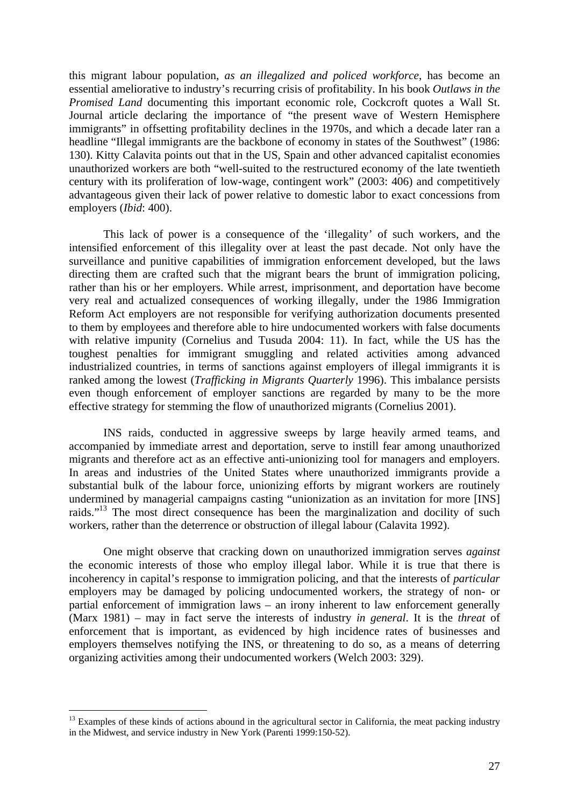this migrant labour population, *as an illegalized and policed workforce*, has become an essential ameliorative to industry's recurring crisis of profitability. In his book *Outlaws in the Promised Land* documenting this important economic role, Cockcroft quotes a Wall St. Journal article declaring the importance of "the present wave of Western Hemisphere immigrants" in offsetting profitability declines in the 1970s, and which a decade later ran a headline "Illegal immigrants are the backbone of economy in states of the Southwest" (1986: 130). Kitty Calavita points out that in the US, Spain and other advanced capitalist economies unauthorized workers are both "well-suited to the restructured economy of the late twentieth century with its proliferation of low-wage, contingent work" (2003: 406) and competitively advantageous given their lack of power relative to domestic labor to exact concessions from employers (*Ibid*: 400).

This lack of power is a consequence of the 'illegality' of such workers, and the intensified enforcement of this illegality over at least the past decade. Not only have the surveillance and punitive capabilities of immigration enforcement developed, but the laws directing them are crafted such that the migrant bears the brunt of immigration policing, rather than his or her employers. While arrest, imprisonment, and deportation have become very real and actualized consequences of working illegally, under the 1986 Immigration Reform Act employers are not responsible for verifying authorization documents presented to them by employees and therefore able to hire undocumented workers with false documents with relative impunity (Cornelius and Tusuda 2004: 11). In fact, while the US has the toughest penalties for immigrant smuggling and related activities among advanced industrialized countries, in terms of sanctions against employers of illegal immigrants it is ranked among the lowest (*Trafficking in Migrants Quarterly* 1996). This imbalance persists even though enforcement of employer sanctions are regarded by many to be the more effective strategy for stemming the flow of unauthorized migrants (Cornelius 2001).

INS raids, conducted in aggressive sweeps by large heavily armed teams, and accompanied by immediate arrest and deportation, serve to instill fear among unauthorized migrants and therefore act as an effective anti-unionizing tool for managers and employers. In areas and industries of the United States where unauthorized immigrants provide a substantial bulk of the labour force, unionizing efforts by migrant workers are routinely undermined by managerial campaigns casting "unionization as an invitation for more [INS] raids."<sup>13</sup> The most direct consequence has been the marginalization and docility of such workers, rather than the deterrence or obstruction of illegal labour (Calavita 1992).

One might observe that cracking down on unauthorized immigration serves *against* the economic interests of those who employ illegal labor. While it is true that there is incoherency in capital's response to immigration policing, and that the interests of *particular* employers may be damaged by policing undocumented workers, the strategy of non- or partial enforcement of immigration laws – an irony inherent to law enforcement generally (Marx 1981) – may in fact serve the interests of industry *in general*. It is the *threat* of enforcement that is important, as evidenced by high incidence rates of businesses and employers themselves notifying the INS, or threatening to do so, as a means of deterring organizing activities among their undocumented workers (Welch 2003: 329).

<span id="page-29-0"></span> $13$  Examples of these kinds of actions abound in the agricultural sector in California, the meat packing industry in the Midwest, and service industry in New York (Parenti 1999:150-52).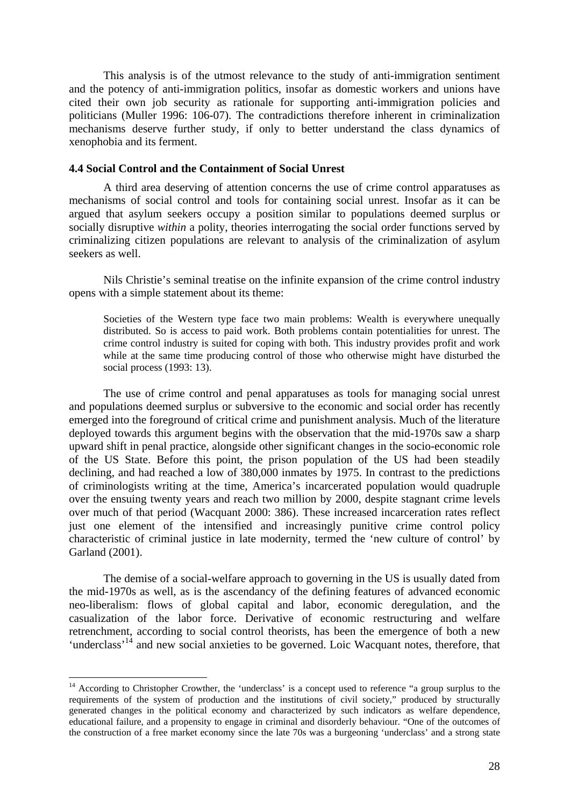<span id="page-30-0"></span>This analysis is of the utmost relevance to the study of anti-immigration sentiment and the potency of anti-immigration politics, insofar as domestic workers and unions have cited their own job security as rationale for supporting anti-immigration policies and politicians (Muller 1996: 106-07). The contradictions therefore inherent in criminalization mechanisms deserve further study, if only to better understand the class dynamics of xenophobia and its ferment.

### **4.4 Social Control and the Containment of Social Unrest**

A third area deserving of attention concerns the use of crime control apparatuses as mechanisms of social control and tools for containing social unrest. Insofar as it can be argued that asylum seekers occupy a position similar to populations deemed surplus or socially disruptive *within* a polity, theories interrogating the social order functions served by criminalizing citizen populations are relevant to analysis of the criminalization of asylum seekers as well.

Nils Christie's seminal treatise on the infinite expansion of the crime control industry opens with a simple statement about its theme:

Societies of the Western type face two main problems: Wealth is everywhere unequally distributed. So is access to paid work. Both problems contain potentialities for unrest. The crime control industry is suited for coping with both. This industry provides profit and work while at the same time producing control of those who otherwise might have disturbed the social process (1993: 13).

The use of crime control and penal apparatuses as tools for managing social unrest and populations deemed surplus or subversive to the economic and social order has recently emerged into the foreground of critical crime and punishment analysis. Much of the literature deployed towards this argument begins with the observation that the mid-1970s saw a sharp upward shift in penal practice, alongside other significant changes in the socio-economic role of the US State. Before this point, the prison population of the US had been steadily declining, and had reached a low of 380,000 inmates by 1975. In contrast to the predictions of criminologists writing at the time, America's incarcerated population would quadruple over the ensuing twenty years and reach two million by 2000, despite stagnant crime levels over much of that period (Wacquant 2000: 386). These increased incarceration rates reflect just one element of the intensified and increasingly punitive crime control policy characteristic of criminal justice in late modernity, termed the 'new culture of control' by Garland (2001).

The demise of a social-welfare approach to governing in the US is usually dated from the mid-1970s as well, as is the ascendancy of the defining features of advanced economic neo-liberalism: flows of global capital and labor, economic deregulation, and the casualization of the labor force. Derivative of economic restructuring and welfare retrenchment, according to social control theorists, has been the emergence of both a new 'underclass'<sup>14</sup> and new social anxieties to be governed. Loic Wacquant notes, therefore, that

<span id="page-30-1"></span><sup>&</sup>lt;sup>14</sup> According to Christopher Crowther, the 'underclass' is a concept used to reference "a group surplus to the requirements of the system of production and the institutions of civil society," produced by structurally generated changes in the political economy and characterized by such indicators as welfare dependence, educational failure, and a propensity to engage in criminal and disorderly behaviour. "One of the outcomes of the construction of a free market economy since the late 70s was a burgeoning 'underclass' and a strong state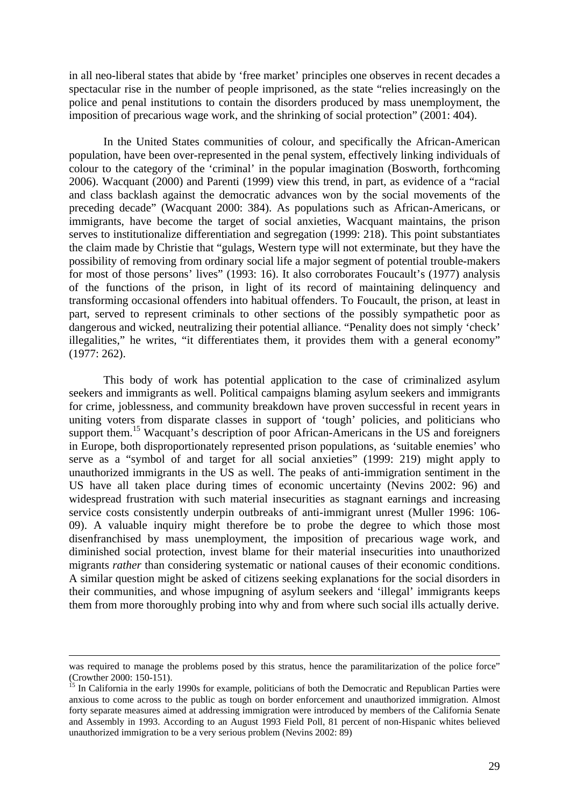in all neo-liberal states that abide by 'free market' principles one observes in recent decades a spectacular rise in the number of people imprisoned, as the state "relies increasingly on the police and penal institutions to contain the disorders produced by mass unemployment, the imposition of precarious wage work, and the shrinking of social protection" (2001: 404).

In the United States communities of colour, and specifically the African-American population, have been over-represented in the penal system, effectively linking individuals of colour to the category of the 'criminal' in the popular imagination (Bosworth, forthcoming 2006). Wacquant (2000) and Parenti (1999) view this trend, in part, as evidence of a "racial and class backlash against the democratic advances won by the social movements of the preceding decade" (Wacquant 2000: 384). As populations such as African-Americans, or immigrants, have become the target of social anxieties, Wacquant maintains, the prison serves to institutionalize differentiation and segregation (1999: 218). This point substantiates the claim made by Christie that "gulags, Western type will not exterminate, but they have the possibility of removing from ordinary social life a major segment of potential trouble-makers for most of those persons' lives" (1993: 16). It also corroborates Foucault's (1977) analysis of the functions of the prison, in light of its record of maintaining delinquency and transforming occasional offenders into habitual offenders. To Foucault, the prison, at least in part, served to represent criminals to other sections of the possibly sympathetic poor as dangerous and wicked, neutralizing their potential alliance. "Penality does not simply 'check' illegalities," he writes, "it differentiates them, it provides them with a general economy" (1977: 262).

This body of work has potential application to the case of criminalized asylum seekers and immigrants as well. Political campaigns blaming asylum seekers and immigrants for crime, joblessness, and community breakdown have proven successful in recent years in uniting voters from disparate classes in support of 'tough' policies, and politicians who support them.<sup>15</sup> Wacquant's description of poor African-Americans in the US and foreigners in Europe, both disproportionately represented prison populations, as 'suitable enemies' who serve as a "symbol of and target for all social anxieties" (1999: 219) might apply to unauthorized immigrants in the US as well. The peaks of anti-immigration sentiment in the US have all taken place during times of economic uncertainty (Nevins 2002: 96) and widespread frustration with such material insecurities as stagnant earnings and increasing service costs consistently underpin outbreaks of anti-immigrant unrest (Muller 1996: 106- 09). A valuable inquiry might therefore be to probe the degree to which those most disenfranchised by mass unemployment, the imposition of precarious wage work, and diminished social protection, invest blame for their material insecurities into unauthorized migrants *rather* than considering systematic or national causes of their economic conditions. A similar question might be asked of citizens seeking explanations for the social disorders in their communities, and whose impugning of asylum seekers and 'illegal' immigrants keeps them from more thoroughly probing into why and from where such social ills actually derive.

was required to manage the problems posed by this stratus, hence the paramilitarization of the police force" (Crowther 2000: 150-151).<br><sup>15</sup> In California in the early 1990s for example, politicians of both the Democratic and Republican Parties were

<span id="page-31-0"></span>anxious to come across to the public as tough on border enforcement and unauthorized immigration. Almost forty separate measures aimed at addressing immigration were introduced by members of the California Senate and Assembly in 1993. According to an August 1993 Field Poll, 81 percent of non-Hispanic whites believed unauthorized immigration to be a very serious problem (Nevins 2002: 89)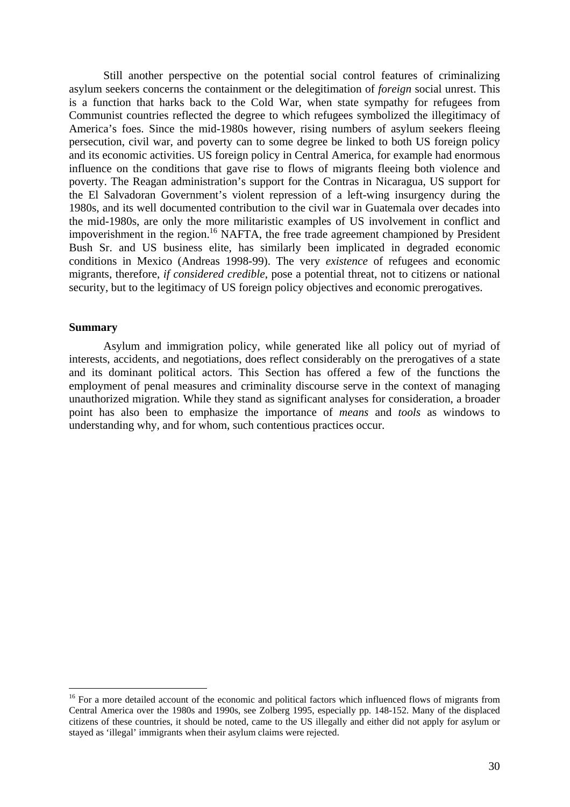<span id="page-32-0"></span>Still another perspective on the potential social control features of criminalizing asylum seekers concerns the containment or the delegitimation of *foreign* social unrest. This is a function that harks back to the Cold War, when state sympathy for refugees from Communist countries reflected the degree to which refugees symbolized the illegitimacy of America's foes. Since the mid-1980s however, rising numbers of asylum seekers fleeing persecution, civil war, and poverty can to some degree be linked to both US foreign policy and its economic activities. US foreign policy in Central America, for example had enormous influence on the conditions that gave rise to flows of migrants fleeing both violence and poverty. The Reagan administration's support for the Contras in Nicaragua, US support for the El Salvadoran Government's violent repression of a left-wing insurgency during the 1980s, and its well documented contribution to the civil war in Guatemala over decades into the mid-1980s, are only the more militaristic examples of US involvement in conflict and impoverishment in the region.[16](#page-32-1) NAFTA, the free trade agreement championed by President Bush Sr. and US business elite, has similarly been implicated in degraded economic conditions in Mexico (Andreas 1998-99). The very *existence* of refugees and economic migrants, therefore, *if considered credible*, pose a potential threat, not to citizens or national security, but to the legitimacy of US foreign policy objectives and economic prerogatives.

### **Summary**

 $\overline{a}$ 

Asylum and immigration policy, while generated like all policy out of myriad of interests, accidents, and negotiations, does reflect considerably on the prerogatives of a state and its dominant political actors. This Section has offered a few of the functions the employment of penal measures and criminality discourse serve in the context of managing unauthorized migration. While they stand as significant analyses for consideration, a broader point has also been to emphasize the importance of *means* and *tools* as windows to understanding why, and for whom, such contentious practices occur.

<span id="page-32-1"></span><sup>&</sup>lt;sup>16</sup> For a more detailed account of the economic and political factors which influenced flows of migrants from Central America over the 1980s and 1990s, see Zolberg 1995, especially pp. 148-152. Many of the displaced citizens of these countries, it should be noted, came to the US illegally and either did not apply for asylum or stayed as 'illegal' immigrants when their asylum claims were rejected.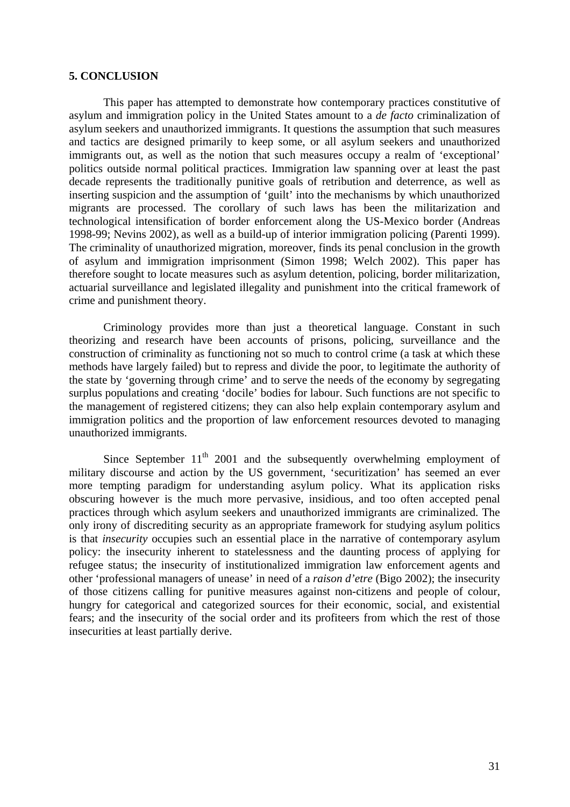### <span id="page-33-0"></span>**5. CONCLUSION**

This paper has attempted to demonstrate how contemporary practices constitutive of asylum and immigration policy in the United States amount to a *de facto* criminalization of asylum seekers and unauthorized immigrants. It questions the assumption that such measures and tactics are designed primarily to keep some, or all asylum seekers and unauthorized immigrants out, as well as the notion that such measures occupy a realm of 'exceptional' politics outside normal political practices. Immigration law spanning over at least the past decade represents the traditionally punitive goals of retribution and deterrence, as well as inserting suspicion and the assumption of 'guilt' into the mechanisms by which unauthorized migrants are processed. The corollary of such laws has been the militarization and technological intensification of border enforcement along the US-Mexico border (Andreas 1998-99; Nevins 2002), as well as a build-up of interior immigration policing (Parenti 1999). The criminality of unauthorized migration, moreover, finds its penal conclusion in the growth of asylum and immigration imprisonment (Simon 1998; Welch 2002). This paper has therefore sought to locate measures such as asylum detention, policing, border militarization, actuarial surveillance and legislated illegality and punishment into the critical framework of crime and punishment theory.

Criminology provides more than just a theoretical language. Constant in such theorizing and research have been accounts of prisons, policing, surveillance and the construction of criminality as functioning not so much to control crime (a task at which these methods have largely failed) but to repress and divide the poor, to legitimate the authority of the state by 'governing through crime' and to serve the needs of the economy by segregating surplus populations and creating 'docile' bodies for labour. Such functions are not specific to the management of registered citizens; they can also help explain contemporary asylum and immigration politics and the proportion of law enforcement resources devoted to managing unauthorized immigrants.

Since September  $11<sup>th</sup>$  2001 and the subsequently overwhelming employment of military discourse and action by the US government, 'securitization' has seemed an ever more tempting paradigm for understanding asylum policy. What its application risks obscuring however is the much more pervasive, insidious, and too often accepted penal practices through which asylum seekers and unauthorized immigrants are criminalized. The only irony of discrediting security as an appropriate framework for studying asylum politics is that *insecurity* occupies such an essential place in the narrative of contemporary asylum policy: the insecurity inherent to statelessness and the daunting process of applying for refugee status; the insecurity of institutionalized immigration law enforcement agents and other 'professional managers of unease' in need of a *raison d'etre* (Bigo 2002); the insecurity of those citizens calling for punitive measures against non-citizens and people of colour, hungry for categorical and categorized sources for their economic, social, and existential fears; and the insecurity of the social order and its profiteers from which the rest of those insecurities at least partially derive.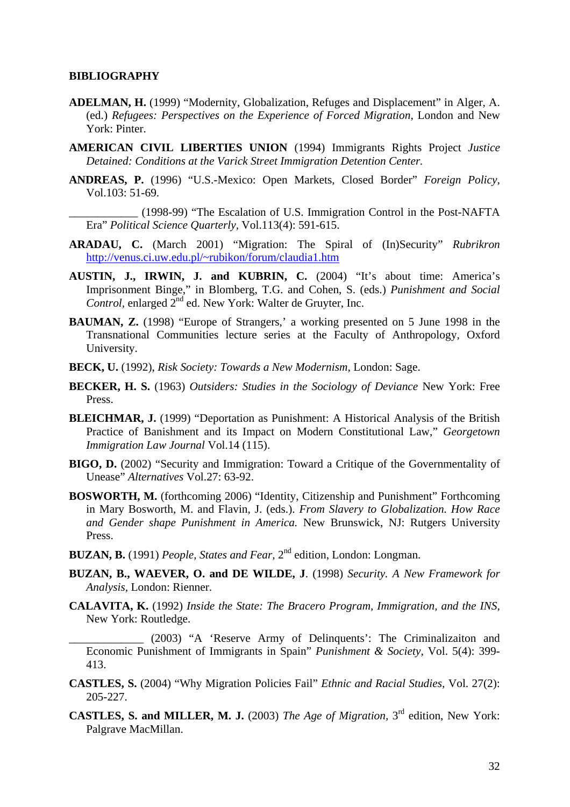### <span id="page-34-0"></span>**BIBLIOGRAPHY**

- **ADELMAN, H.** (1999) "Modernity, Globalization, Refuges and Displacement" in Alger, A. (ed.) *Refugees: Perspectives on the Experience of Forced Migration,* London and New York: Pinter.
- **AMERICAN CIVIL LIBERTIES UNION** (1994) Immigrants Rights Project *Justice Detained: Conditions at the Varick Street Immigration Detention Center.*
- **ANDREAS, P.** (1996) "U.S.-Mexico: Open Markets, Closed Border" *Foreign Policy,* Vol.103: 51-69.
	- \_\_\_\_\_\_\_\_\_\_\_\_ (1998-99) "The Escalation of U.S. Immigration Control in the Post-NAFTA Era" *Political Science Quarterly,* Vol.113(4): 591-615.
- **ARADAU, C.** (March 2001) "Migration: The Spiral of (In)Security" *Rubrikron*  <http://venus.ci.uw.edu.pl/~rubikon/forum/claudia1.htm>
- **AUSTIN, J., IRWIN, J. and KUBRIN, C.** (2004) "It's about time: America's Imprisonment Binge," in Blomberg, T.G. and Cohen, S. (eds.) *Punishment and Social Control,* enlarged 2nd ed. New York: Walter de Gruyter, Inc.
- **BAUMAN, Z.** (1998) "Europe of Strangers,' a working presented on 5 June 1998 in the Transnational Communities lecture series at the Faculty of Anthropology, Oxford University.
- **BECK, U.** (1992), *Risk Society: Towards a New Modernism,* London: Sage.
- **BECKER, H. S.** (1963) *Outsiders: Studies in the Sociology of Deviance* New York: Free Press.
- **BLEICHMAR, J.** (1999) "Deportation as Punishment: A Historical Analysis of the British Practice of Banishment and its Impact on Modern Constitutional Law," *Georgetown Immigration Law Journal* Vol.14 (115).
- **BIGO, D.** (2002) "Security and Immigration: Toward a Critique of the Governmentality of Unease" *Alternatives* Vol.27: 63-92.
- **BOSWORTH, M.** (forthcoming 2006) "Identity, Citizenship and Punishment" Forthcoming in Mary Bosworth, M. and Flavin, J. (eds.). *From Slavery to Globalization. How Race and Gender shape Punishment in America.* New Brunswick, NJ: Rutgers University Press.
- **BUZAN, B.** (1991) *People, States and Fear,* 2nd edition, London: Longman.
- **BUZAN, B., WAEVER, O. and DE WILDE, J**. (1998) *Security. A New Framework for Analysis,* London: Rienner.
- **CALAVITA, K.** (1992) *Inside the State: The Bracero Program, Immigration, and the INS,*  New York: Routledge.

\_\_\_\_\_\_\_\_\_\_\_\_\_ (2003) "A 'Reserve Army of Delinquents': The Criminalizaiton and Economic Punishment of Immigrants in Spain" *Punishment & Society,* Vol. 5(4): 399- 413.

- **CASTLES, S.** (2004) "Why Migration Policies Fail" *Ethnic and Racial Studies,* Vol. 27(2): 205-227.
- **CASTLES, S. and MILLER, M. J.** (2003) *The Age of Migration,* 3rd edition, New York: Palgrave MacMillan.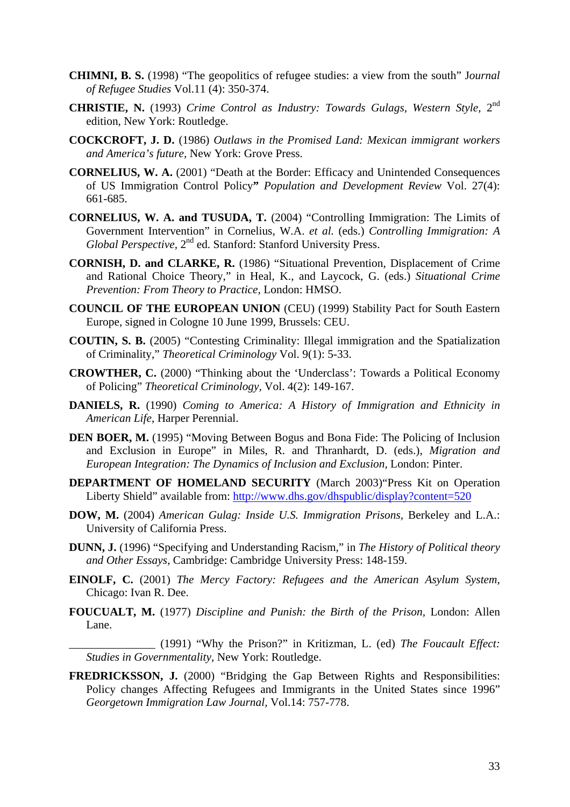- **CHIMNI, B. S.** (1998) "The geopolitics of refugee studies: a view from the south" J*ournal of Refugee Studies* Vol.11 (4): 350-374.
- **CHRISTIE, N.** (1993) *Crime Control as Industry: Towards Gulags, Western Style,* 2nd edition, New York: Routledge.
- **COCKCROFT, J. D.** (1986) *Outlaws in the Promised Land: Mexican immigrant workers and America's future,* New York: Grove Press.
- **CORNELIUS, W. A.** (2001) "Death at the Border: Efficacy and Unintended Consequences of US Immigration Control Policy**"** *Population and Development Review* Vol. 27(4): 661-685.
- **CORNELIUS, W. A. and TUSUDA, T.** (2004) "Controlling Immigration: The Limits of Government Intervention" in Cornelius, W.A. *et al.* (eds.) *Controlling Immigration: A Global Perspective,* 2nd ed. Stanford: Stanford University Press.
- **CORNISH, D. and CLARKE, R.** (1986) "Situational Prevention, Displacement of Crime and Rational Choice Theory," in Heal, K., and Laycock, G. (eds.) *Situational Crime Prevention: From Theory to Practice,* London: HMSO.
- **COUNCIL OF THE EUROPEAN UNION** (CEU) (1999) Stability Pact for South Eastern Europe, signed in Cologne 10 June 1999, Brussels: CEU.
- **COUTIN, S. B.** (2005) "Contesting Criminality: Illegal immigration and the Spatialization of Criminality," *Theoretical Criminology* Vol. 9(1): 5-33.
- **CROWTHER, C.** (2000) "Thinking about the 'Underclass': Towards a Political Economy of Policing" *Theoretical Criminology,* Vol. 4(2): 149-167.
- **DANIELS, R.** (1990) *Coming to America: A History of Immigration and Ethnicity in American Life*, Harper Perennial.
- **DEN BOER, M.** (1995) "Moving Between Bogus and Bona Fide: The Policing of Inclusion and Exclusion in Europe" in Miles, R. and Thranhardt, D. (eds.), *Migration and European Integration: The Dynamics of Inclusion and Exclusion,* London: Pinter.
- **DEPARTMENT OF HOMELAND SECURITY** (March 2003)"Press Kit on Operation Liberty Shield" available from:<http://www.dhs.gov/dhspublic/display?content=520>
- **DOW, M.** (2004) *American Gulag: Inside U.S. Immigration Prisons,* Berkeley and L.A.: University of California Press.
- **DUNN, J.** (1996) "Specifying and Understanding Racism," in *The History of Political theory and Other Essays*, Cambridge: Cambridge University Press: 148-159.
- **EINOLF, C.** (2001) *The Mercy Factory: Refugees and the American Asylum System,*  Chicago: Ivan R. Dee.
- **FOUCUALT, M.** (1977) *Discipline and Punish: the Birth of the Prison,* London: Allen Lane.
	- \_\_\_\_\_\_\_\_\_\_\_\_\_\_\_ (1991) "Why the Prison?" in Kritizman, L. (ed) *The Foucault Effect: Studies in Governmentality,* New York: Routledge.
- **FREDRICKSSON, J.** (2000) "Bridging the Gap Between Rights and Responsibilities: Policy changes Affecting Refugees and Immigrants in the United States since 1996" *Georgetown Immigration Law Journal,* Vol.14: 757-778.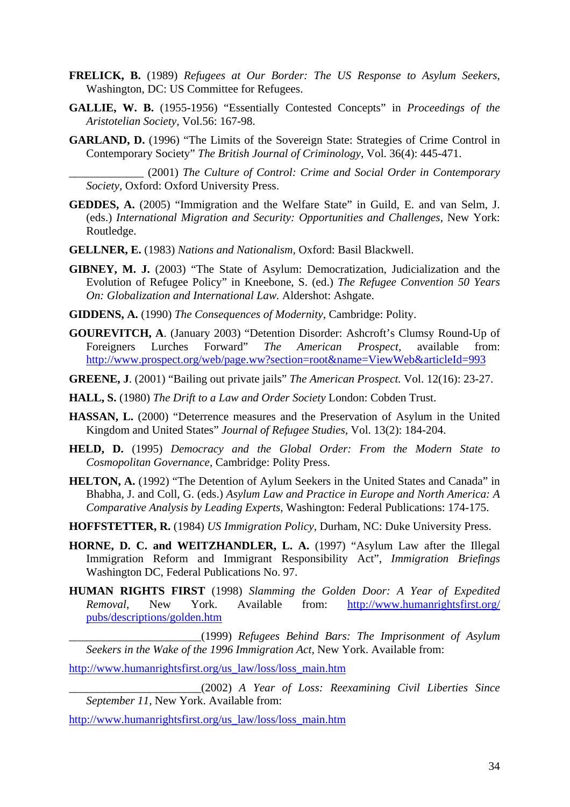- **FRELICK, B.** (1989) *Refugees at Our Border: The US Response to Asylum Seekers,* Washington, DC: US Committee for Refugees.
- **GALLIE, W. B.** (1955-1956) "Essentially Contested Concepts" in *Proceedings of the Aristotelian Society,* Vol.56: 167-98.
- **GARLAND, D.** (1996) "The Limits of the Sovereign State: Strategies of Crime Control in Contemporary Society" *The British Journal of Criminology,* Vol. 36(4): 445-471.

\_\_\_\_\_\_\_\_\_\_\_\_\_ (2001) *The Culture of Control: Crime and Social Order in Contemporary Society,* Oxford: Oxford University Press.

- **GEDDES, A.** (2005) "Immigration and the Welfare State" in Guild, E. and van Selm, J. (eds.) *International Migration and Security: Opportunities and Challenges,* New York: Routledge.
- **GELLNER, E.** (1983) *Nations and Nationalism,* Oxford: Basil Blackwell.
- **GIBNEY, M. J.** (2003) "The State of Asylum: Democratization, Judicialization and the Evolution of Refugee Policy" in Kneebone, S. (ed.) *The Refugee Convention 50 Years On: Globalization and International Law.* Aldershot: Ashgate.
- **GIDDENS, A.** (1990) *The Consequences of Modernity*, Cambridge: Polity.
- **GOUREVITCH, A**. (January 2003) "Detention Disorder: Ashcroft's Clumsy Round-Up of Foreigners Lurches Forward" *The American Prospect,* available from: <http://www.prospect.org/web/page.ww?section=root&name=ViewWeb&articleId=993>
- **GREENE, J**. (2001) "Bailing out private jails" *The American Prospect.* Vol. 12(16): 23-27.
- **HALL, S.** (1980) *The Drift to a Law and Order Society* London: Cobden Trust.
- **HASSAN, L.** (2000) "Deterrence measures and the Preservation of Asylum in the United Kingdom and United States" *Journal of Refugee Studies,* Vol. 13(2): 184-204.
- **HELD, D.** (1995) *Democracy and the Global Order: From the Modern State to Cosmopolitan Governance,* Cambridge: Polity Press.
- **HELTON, A.** (1992) "The Detention of Aylum Seekers in the United States and Canada" in Bhabha, J. and Coll, G. (eds.) *Asylum Law and Practice in Europe and North America: A Comparative Analysis by Leading Experts,* Washington: Federal Publications: 174-175.
- **HOFFSTETTER, R.** (1984) *US Immigration Policy,* Durham, NC: Duke University Press.
- **HORNE, D. C. and WEITZHANDLER, L. A.** (1997) "Asylum Law after the Illegal Immigration Reform and Immigrant Responsibility Act", *Immigration Briefings* Washington DC, Federal Publications No. 97.
- **HUMAN RIGHTS FIRST** (1998) *Slamming the Golden Door: A Year of Expedited Removal*, New York. Available from: [http://www.humanrightsfirst.org/](http://www.humanrightsfirst.org/pubs/descriptions/golden.htm) [pubs/descriptions/golden.htm](http://www.humanrightsfirst.org/pubs/descriptions/golden.htm)

\_\_\_\_\_\_\_\_\_\_\_\_\_\_\_\_\_\_\_\_\_\_\_(1999) *Refugees Behind Bars: The Imprisonment of Asylum Seekers in the Wake of the 1996 Immigration Act,* New York. Available from:

[http://www.humanrightsfirst.org/us\\_law/loss/loss\\_main.htm](http://www.humanrightsfirst.org/us_law/loss/loss_main.htm)

\_\_\_\_\_\_\_\_\_\_\_\_\_\_\_\_\_\_\_\_\_\_\_(2002) *A Year of Loss: Reexamining Civil Liberties Since September 11,* New York. Available from:

[http://www.humanrightsfirst.org/us\\_law/loss/loss\\_main.htm](http://www.humanrightsfirst.org/us_law/loss/loss_main.htm)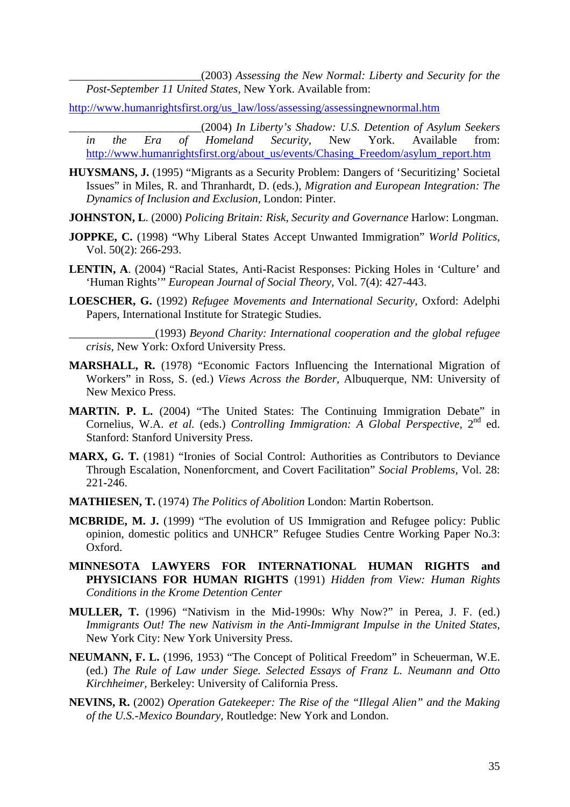\_\_\_\_\_\_\_\_\_\_\_\_\_\_\_\_\_\_\_\_\_\_\_(2003) *Assessing the New Normal: Liberty and Security for the Post-September 11 United States,* New York. Available from:

[http://www.humanrightsfirst.org/us\\_law/loss/assessing/assessingnewnormal.htm](http://www.humanrightsfirst.org:80/us_law/loss/assessing/assessingnewnormal.htm)

\_\_\_\_\_\_\_\_\_\_\_\_\_\_\_\_\_\_\_\_\_\_\_(2004) *In Liberty's Shadow: U.S. Detention of Asylum Seekers in the Era of Homeland Security,* New York. Available from: [http://www.humanrightsfirst.org/about\\_us/events/Chasing\\_Freedom/asylum\\_report.htm](http://www.humanrightsfirst.org/about_us/events/Chasing_Freedom/asylum_report.htm)

**HUYSMANS, J.** (1995) "Migrants as a Security Problem: Dangers of 'Securitizing' Societal Issues" in Miles, R. and Thranhardt, D. (eds.), *Migration and European Integration: The Dynamics of Inclusion and Exclusion,* London: Pinter.

**JOHNSTON, L**. (2000) *Policing Britain: Risk, Security and Governance* Harlow: Longman.

- **JOPPKE, C.** (1998) "Why Liberal States Accept Unwanted Immigration" *World Politics*, Vol. 50(2): 266-293.
- **LENTIN, A**. (2004) "Racial States, Anti-Racist Responses: Picking Holes in 'Culture' and 'Human Rights'" *European Journal of Social Theory,* Vol. 7(4): 427-443.
- **LOESCHER, G.** (1992) *Refugee Movements and International Security,* Oxford: Adelphi Papers, International Institute for Strategic Studies.

\_\_\_\_\_\_\_\_\_\_\_\_\_\_\_(1993) *Beyond Charity: International cooperation and the global refugee crisis,* New York: Oxford University Press.

- **MARSHALL, R.** (1978) "Economic Factors Influencing the International Migration of Workers" in Ross, S. (ed.) *Views Across the Border,* Albuquerque, NM: University of New Mexico Press.
- **MARTIN. P. L.** (2004) "The United States: The Continuing Immigration Debate" in Cornelius, W.A. *et al.* (eds.) *Controlling Immigration: A Global Perspective,* 2nd ed. Stanford: Stanford University Press.
- **MARX, G. T.** (1981) "Ironies of Social Control: Authorities as Contributors to Deviance Through Escalation, Nonenforcment, and Covert Facilitation" *Social Problems,* Vol. 28: 221-246.
- **MATHIESEN, T.** (1974) *The Politics of Abolition* London: Martin Robertson.
- **MCBRIDE, M. J.** (1999) "The evolution of US Immigration and Refugee policy: Public opinion, domestic politics and UNHCR" Refugee Studies Centre Working Paper No.3: Oxford.
- **MINNESOTA LAWYERS FOR INTERNATIONAL HUMAN RIGHTS and PHYSICIANS FOR HUMAN RIGHTS** (1991) *Hidden from View: Human Rights Conditions in the Krome Detention Center*
- **MULLER, T.** (1996) "Nativism in the Mid-1990s: Why Now?" in Perea, J. F. (ed.) *Immigrants Out! The new Nativism in the Anti-Immigrant Impulse in the United States,* New York City: New York University Press.
- **NEUMANN, F. L.** (1996, 1953) "The Concept of Political Freedom" in Scheuerman, W.E. (ed.) *The Rule of Law under Siege. Selected Essays of Franz L. Neumann and Otto Kirchheimer,* Berkeley: University of California Press.
- **NEVINS, R.** (2002) *Operation Gatekeeper: The Rise of the "Illegal Alien" and the Making of the U.S.-Mexico Boundary,* Routledge: New York and London.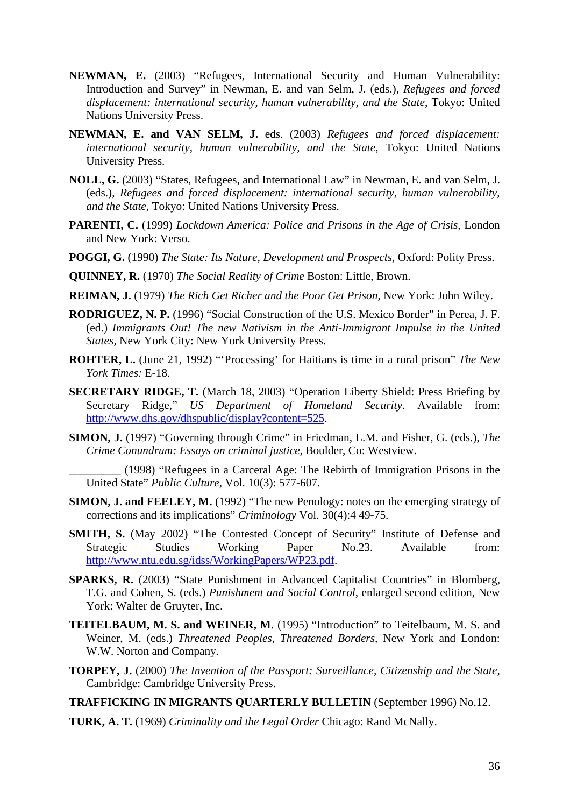- **NEWMAN, E.** (2003) "Refugees, International Security and Human Vulnerability: Introduction and Survey" in Newman, E. and van Selm, J. (eds.), *Refugees and forced displacement: international security, human vulnerability, and the State*, Tokyo: United Nations University Press.
- **NEWMAN, E. and VAN SELM, J.** eds. (2003) *Refugees and forced displacement: international security, human vulnerability, and the State*, Tokyo: United Nations University Press.
- **NOLL, G.** (2003) "States, Refugees, and International Law" in Newman, E. and van Selm, J. (eds.), *Refugees and forced displacement: international security, human vulnerability, and the State*, Tokyo: United Nations University Press.
- **PARENTI, C.** (1999) *Lockdown America: Police and Prisons in the Age of Crisis,* London and New York: Verso.
- **POGGI, G.** (1990) *The State: Its Nature, Development and Prospects,* Oxford: Polity Press.
- **QUINNEY, R.** (1970) *The Social Reality of Crime* Boston: Little, Brown.
- **REIMAN, J.** (1979) *The Rich Get Richer and the Poor Get Prison,* New York: John Wiley.
- **RODRIGUEZ, N. P.** (1996) "Social Construction of the U.S. Mexico Border" in Perea, J. F. (ed.) *Immigrants Out! The new Nativism in the Anti-Immigrant Impulse in the United States,* New York City: New York University Press.
- **ROHTER, L.** (June 21, 1992) "'Processing' for Haitians is time in a rural prison" *The New York Times:* E-18.
- **SECRETARY RIDGE, T.** (March 18, 2003) "Operation Liberty Shield: Press Briefing by Secretary Ridge," *US Department of Homeland Security.* Available from: [http://www.dhs.gov/dhspublic/display?content=525.](http://www.dhs.gov/dhspublic/display?content=525)
- **SIMON, J.** (1997) "Governing through Crime" in Friedman, L.M. and Fisher, G. (eds.), *The Crime Conundrum: Essays on criminal justice,* Boulder, Co: Westview.
	- \_\_\_\_\_\_\_\_\_ (1998) "Refugees in a Carceral Age: The Rebirth of Immigration Prisons in the United State" *Public Culture*, Vol. 10(3): 577-607.
- **SIMON, J. and FEELEY, M.** (1992) "The new Penology: notes on the emerging strategy of corrections and its implications" *Criminology* Vol. 30(4):4 49-75.
- **SMITH, S.** (May 2002) "The Contested Concept of Security" Institute of Defense and Strategic Studies Working Paper No.23. Available from: <http://www.ntu.edu.sg/idss/WorkingPapers/WP23.pdf>.
- **SPARKS, R.** (2003) "State Punishment in Advanced Capitalist Countries" in Blomberg, T.G. and Cohen, S. (eds.) *Punishment and Social Control*, enlarged second edition, New York: Walter de Gruyter, Inc.
- **TEITELBAUM, M. S. and WEINER, M**. (1995) "Introduction" to Teitelbaum, M. S. and Weiner, M. (eds.) *Threatened Peoples, Threatened Borders,* New York and London: W.W. Norton and Company.
- **TORPEY, J.** (2000) *The Invention of the Passport: Surveillance, Citizenship and the State,*  Cambridge: Cambridge University Press.

**TRAFFICKING IN MIGRANTS QUARTERLY BULLETIN** (September 1996) No.12.

**TURK, A. T.** (1969) *Criminality and the Legal Order* Chicago: Rand McNally.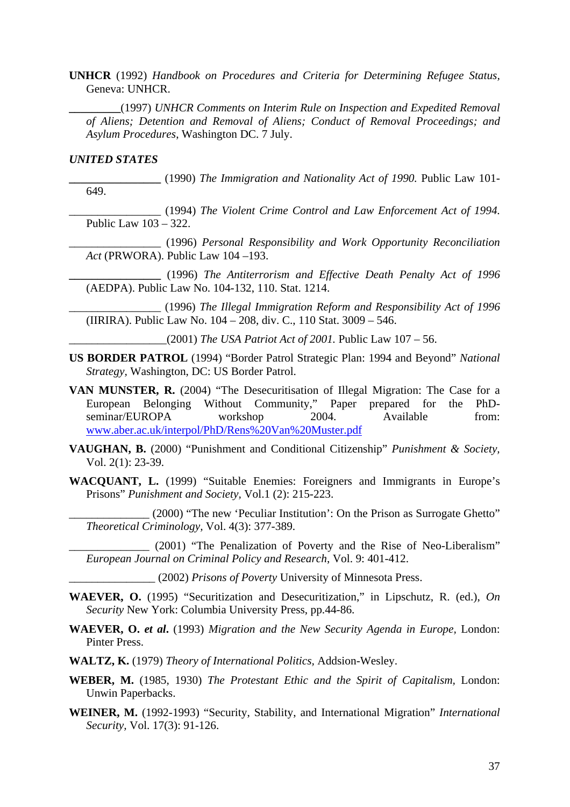**UNHCR** (1992) *Handbook on Procedures and Criteria for Determining Refugee Status,*  Geneva: UNHCR.

**\_\_\_\_\_\_\_\_\_**(1997) *UNHCR Comments on Interim Rule on Inspection and Expedited Removal of Aliens; Detention and Removal of Aliens; Conduct of Removal Proceedings; and Asylum Procedures*, Washington DC. 7 July.

### *UNITED STATES*

**\_\_\_\_\_\_\_\_\_\_\_\_\_\_\_\_** (1990) *The Immigration and Nationality Act of 1990.* Public Law 101- 649.

\_\_\_\_\_\_\_\_\_\_\_\_\_\_\_\_ (1994) *The Violent Crime Control and Law Enforcement Act of 1994.*  Public Law 103 – 322.

\_\_\_\_\_\_\_\_\_\_\_\_\_\_\_\_ (1996) *Personal Responsibility and Work Opportunity Reconciliation Act* (PRWORA). Public Law 104 –193.

**\_\_\_\_\_\_\_\_\_\_\_\_\_\_\_\_** (1996) *The Antiterrorism and Effective Death Penalty Act of 1996*  (AEDPA). Public Law No. 104-132, 110. Stat. 1214.

\_\_\_\_\_\_\_\_\_\_\_\_\_\_\_\_ (1996) *The Illegal Immigration Reform and Responsibility Act of 1996*  (IIRIRA). Public Law No. 104 – 208, div. C., 110 Stat. 3009 – 546.

\_\_\_\_\_\_\_\_\_\_\_\_\_\_\_\_\_(2001) *The USA Patriot Act of 2001.* Public Law 107 – 56.

- **US BORDER PATROL** (1994) "Border Patrol Strategic Plan: 1994 and Beyond" *National Strategy,* Washington, DC: US Border Patrol.
- **VAN MUNSTER, R.** (2004) "The Desecuritisation of Illegal Migration: The Case for a European Belonging Without Community," Paper prepared for the PhDseminar/EUROPA workshop 2004. Available from: [www.aber.ac.uk/interpol/PhD/Rens%20Van%20Muster.pdf](http://www.aber.ac.uk/interpol/PhD/Rens%20Van%20Muster.pdf)
- **VAUGHAN, B.** (2000) "Punishment and Conditional Citizenship" *Punishment & Society,*  Vol. 2(1): 23-39.
- **WACQUANT, L.** (1999) "Suitable Enemies: Foreigners and Immigrants in Europe's Prisons" *Punishment and Society,* Vol.1 (2): 215-223.

\_\_\_\_\_\_\_\_\_\_\_\_\_\_ (2000) "The new 'Peculiar Institution': On the Prison as Surrogate Ghetto" *Theoretical Criminology,* Vol. 4(3): 377-389.

(2001) "The Penalization of Poverty and the Rise of Neo-Liberalism" *European Journal on Criminal Policy and Research*, Vol. 9: 401-412.

\_\_\_\_\_\_\_\_\_\_\_\_\_\_\_ (2002) *Prisons of Poverty* University of Minnesota Press.

- **WAEVER, O.** (1995) "Securitization and Desecuritization," in Lipschutz, R. (ed.), *On Security* New York: Columbia University Press, pp.44-86.
- **WAEVER, O.** *et al***.** (1993) *Migration and the New Security Agenda in Europe,* London: Pinter Press.
- **WALTZ, K.** (1979) *Theory of International Politics,* Addsion-Wesley.
- **WEBER, M.** (1985, 1930) *The Protestant Ethic and the Spirit of Capitalism,* London: Unwin Paperbacks.
- **WEINER, M.** (1992-1993) "Security, Stability, and International Migration" *International Security,* Vol. 17(3): 91-126.